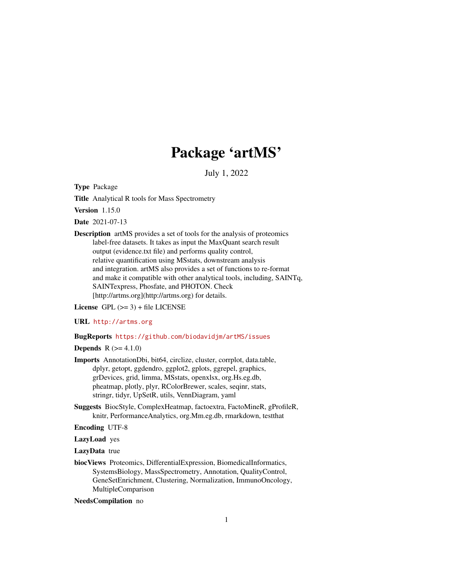# Package 'artMS'

July 1, 2022

Type Package

Title Analytical R tools for Mass Spectrometry

Version 1.15.0

Date 2021-07-13

Description artMS provides a set of tools for the analysis of proteomics label-free datasets. It takes as input the MaxQuant search result output (evidence.txt file) and performs quality control, relative quantification using MSstats, downstream analysis and integration. artMS also provides a set of functions to re-format and make it compatible with other analytical tools, including, SAINTq, SAINTexpress, Phosfate, and PHOTON. Check [http://artms.org](http://artms.org) for details.

License GPL  $(>= 3)$  + file LICENSE

URL <http://artms.org>

#### BugReports <https://github.com/biodavidjm/artMS/issues>

**Depends** R  $(>= 4.1.0)$ 

- Imports AnnotationDbi, bit64, circlize, cluster, corrplot, data.table, dplyr, getopt, ggdendro, ggplot2, gplots, ggrepel, graphics, grDevices, grid, limma, MSstats, openxlsx, org.Hs.eg.db, pheatmap, plotly, plyr, RColorBrewer, scales, seqinr, stats, stringr, tidyr, UpSetR, utils, VennDiagram, yaml
- Suggests BiocStyle, ComplexHeatmap, factoextra, FactoMineR, gProfileR, knitr, PerformanceAnalytics, org.Mm.eg.db, rmarkdown, testthat

Encoding UTF-8

LazyLoad yes

LazyData true

biocViews Proteomics, DifferentialExpression, BiomedicalInformatics, SystemsBiology, MassSpectrometry, Annotation, QualityControl, GeneSetEnrichment, Clustering, Normalization, ImmunoOncology, MultipleComparison

NeedsCompilation no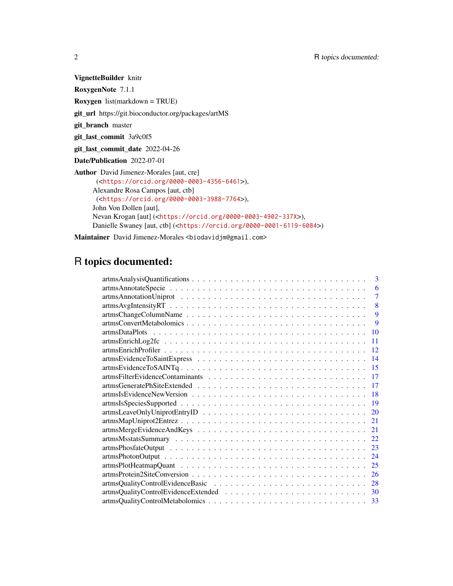VignetteBuilder knitr

RoxygenNote 7.1.1

Roxygen list(markdown = TRUE)

git\_url https://git.bioconductor.org/packages/artMS

git\_branch master

git\_last\_commit 3a9c0f5

git\_last\_commit\_date 2022-04-26

Date/Publication 2022-07-01

Author David Jimenez-Morales [aut, cre] (<<https://orcid.org/0000-0003-4356-6461>>), Alexandre Rosa Campos [aut, ctb] (<<https://orcid.org/0000-0003-3988-7764>>), John Von Dollen [aut], Nevan Krogan [aut] (<<https://orcid.org/0000-0003-4902-337X>>), Danielle Swaney [aut, ctb] (<<https://orcid.org/0000-0001-6119-6084>>)

Maintainer David Jimenez-Morales <br/>biodavidjm@gmail.com>

## R topics documented:

| 3      |
|--------|
| 6      |
| $\tau$ |
| 8      |
| 9      |
| 9      |
| 10     |
| 11     |
| 12     |
| 14     |
| 15     |
| 17     |
| 17     |
| 18     |
| 19     |
| 20     |
| 21     |
| 21     |
| 22     |
| 23     |
| 24     |
| 25     |
| 26     |
| 28     |
| 30     |
| 33     |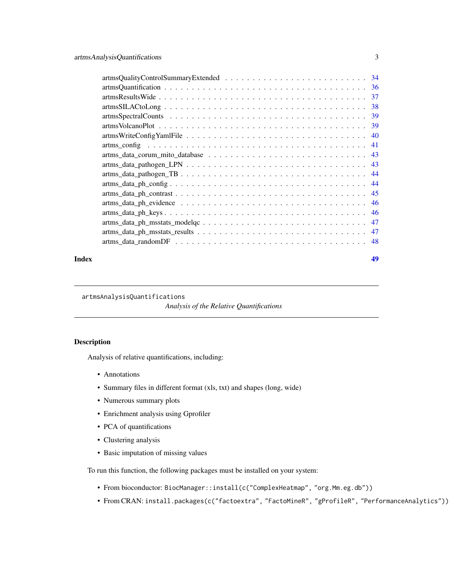<span id="page-2-0"></span>

#### **Index a** set of the contract of the contract of the contract of the contract of the contract of the contract of the contract of the contract of the contract of the contract of the contract of the contract of the contrac

artmsAnalysisQuantifications

*Analysis of the Relative Quantifications*

#### Description

Analysis of relative quantifications, including:

- Annotations
- Summary files in different format (xls, txt) and shapes (long, wide)
- Numerous summary plots
- Enrichment analysis using Gprofiler
- PCA of quantifications
- Clustering analysis
- Basic imputation of missing values

To run this function, the following packages must be installed on your system:

- From bioconductor: BiocManager::install(c("ComplexHeatmap", "org.Mm.eg.db"))
- From CRAN: install.packages(c("factoextra", "FactoMineR", "gProfileR", "PerformanceAnalytics"))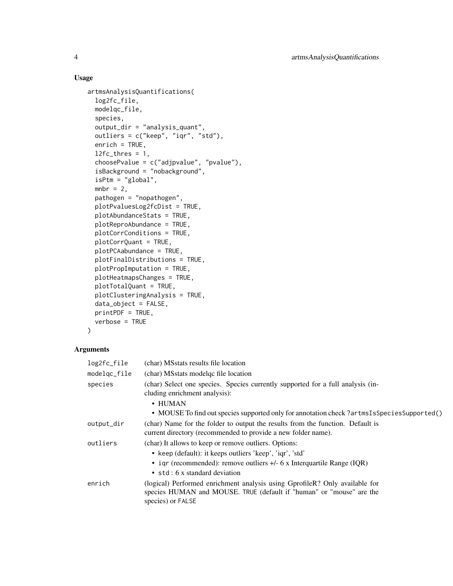#### Usage

```
artmsAnalysisQuantifications(
  log2fc_file,
 modelqc_file,
  species,
 output_dir = "analysis_quant",
 outliers = c("keep", "iqr", "std"),
  enrich = TRUE,l2fc_thres = 1,
  choosePvalue = c("adjpvalue", "pvalue"),
  isBackground = "nobackground",
  isPtm = "global",mbr = 2,
 pathogen = "nopathogen",
 plotPvaluesLog2fcDist = TRUE,
 plotAbundanceStats = TRUE,
 plotReproAbundance = TRUE,
 plotCorrConditions = TRUE,
 plotCorrQuant = TRUE,
 plotPCAabundance = TRUE,
 plotFinalDistributions = TRUE,
 plotPropImputation = TRUE,
 plotHeatmapsChanges = TRUE,
 plotTotalQuant = TRUE,
 plotClusteringAnalysis = TRUE,
 data_object = FALSE,
 printPDF = TRUE,
 verbose = TRUE
)
```
#### Arguments

| (char) MSstats results file location                                                                                                                                     |
|--------------------------------------------------------------------------------------------------------------------------------------------------------------------------|
| (char) MSstats model qc file location                                                                                                                                    |
| (char) Select one species. Species currently supported for a full analysis (in-<br>cluding enrichment analysis):                                                         |
| $\cdot$ HUMAN<br>• MOUSE To find out species supported only for annotation check?artmsIsSpeciesSupported()                                                               |
| (char) Name for the folder to output the results from the function. Default is<br>current directory (recommended to provide a new folder name).                          |
| (char) It allows to keep or remove outliers. Options:                                                                                                                    |
| • keep (default): it keeps outliers 'keep', 'iqr', 'std'                                                                                                                 |
| • iqr (recommended): remove outliers $+/-$ 6 x Interquartile Range (IQR)<br>$\bullet$ std : 6 x standard deviation                                                       |
| (logical) Performed enrichment analysis using GprofileR? Only available for<br>species HUMAN and MOUSE. TRUE (default if "human" or "mouse" are the<br>species) or FALSE |
|                                                                                                                                                                          |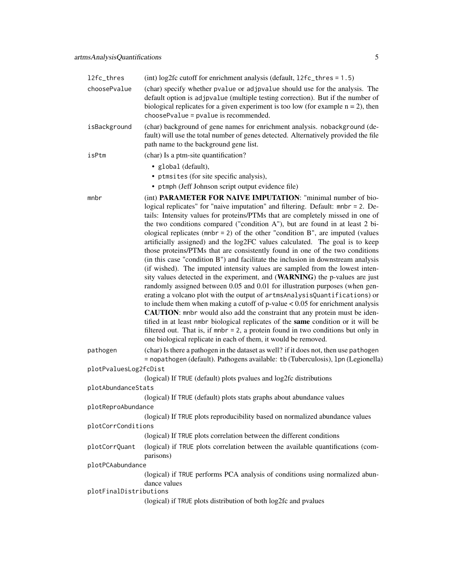| 12fc_thres             | (int) $log2fc$ cutoff for enrichment analysis (default, $12fc_thres = 1.5$ )                                                                                                                                                                                                                                                                                                                                                                                                                                                                                                                                                                                                                                                                                                                                                                                                                                                                                                                                                                                                                                                                                                                                                                                                                                                                                                                                 |
|------------------------|--------------------------------------------------------------------------------------------------------------------------------------------------------------------------------------------------------------------------------------------------------------------------------------------------------------------------------------------------------------------------------------------------------------------------------------------------------------------------------------------------------------------------------------------------------------------------------------------------------------------------------------------------------------------------------------------------------------------------------------------------------------------------------------------------------------------------------------------------------------------------------------------------------------------------------------------------------------------------------------------------------------------------------------------------------------------------------------------------------------------------------------------------------------------------------------------------------------------------------------------------------------------------------------------------------------------------------------------------------------------------------------------------------------|
| choosePvalue           | (char) specify whether pvalue or adjpvalue should use for the analysis. The<br>default option is adjpvalue (multiple testing correction). But if the number of<br>biological replicates for a given experiment is too low (for example $n = 2$ ), then<br>choosePvalue = pvalue is recommended.                                                                                                                                                                                                                                                                                                                                                                                                                                                                                                                                                                                                                                                                                                                                                                                                                                                                                                                                                                                                                                                                                                              |
| isBackground           | (char) background of gene names for enrichment analysis. nobackground (de-<br>fault) will use the total number of genes detected. Alternatively provided the file<br>path name to the background gene list.                                                                                                                                                                                                                                                                                                                                                                                                                                                                                                                                                                                                                                                                                                                                                                                                                                                                                                                                                                                                                                                                                                                                                                                                  |
| isPtm                  | (char) Is a ptm-site quantification?                                                                                                                                                                                                                                                                                                                                                                                                                                                                                                                                                                                                                                                                                                                                                                                                                                                                                                                                                                                                                                                                                                                                                                                                                                                                                                                                                                         |
|                        | · global (default),<br>• ptmsites (for site specific analysis),<br>• ptmph (Jeff Johnson script output evidence file)                                                                                                                                                                                                                                                                                                                                                                                                                                                                                                                                                                                                                                                                                                                                                                                                                                                                                                                                                                                                                                                                                                                                                                                                                                                                                        |
| mnbr                   | (int) PARAMETER FOR NAIVE IMPUTATION: "minimal number of bio-<br>logical replicates" for "naive imputation" and filtering. Default: mnbr = 2. De-<br>tails: Intensity values for proteins/PTMs that are completely missed in one of<br>the two conditions compared ("condition A"), but are found in at least 2 bi-<br>ological replicates ( $mbr = 2$ ) of the other "condition B", are imputed (values<br>artificially assigned) and the log2FC values calculated. The goal is to keep<br>those proteins/PTMs that are consistently found in one of the two conditions<br>(in this case "condition B") and facilitate the inclusion in downstream analysis<br>(if wished). The imputed intensity values are sampled from the lowest inten-<br>sity values detected in the experiment, and (WARNING) the p-values are just<br>randomly assigned between 0.05 and 0.01 for illustration purposes (when gen-<br>erating a volcano plot with the output of artmsAnalysisQuantifications) or<br>to include them when making a cutoff of $p$ -value $< 0.05$ for enrichment analysis<br>CAUTION: mnbr would also add the constraint that any protein must be iden-<br>tified in at least nmbr biological replicates of the same condition or it will be<br>filtered out. That is, if $mbr = 2$ , a protein found in two conditions but only in<br>one biological replicate in each of them, it would be removed. |
| pathogen               | (char) Is there a pathogen in the dataset as well? if it does not, then use pathogen<br>= nopathogen (default). Pathogens available: tb (Tuberculosis), 1pn (Legionella)                                                                                                                                                                                                                                                                                                                                                                                                                                                                                                                                                                                                                                                                                                                                                                                                                                                                                                                                                                                                                                                                                                                                                                                                                                     |
| plotPvaluesLog2fcDist  |                                                                                                                                                                                                                                                                                                                                                                                                                                                                                                                                                                                                                                                                                                                                                                                                                                                                                                                                                                                                                                                                                                                                                                                                                                                                                                                                                                                                              |
|                        | (logical) If TRUE (default) plots pvalues and log2fc distributions                                                                                                                                                                                                                                                                                                                                                                                                                                                                                                                                                                                                                                                                                                                                                                                                                                                                                                                                                                                                                                                                                                                                                                                                                                                                                                                                           |
| plotAbundanceStats     | (logical) If TRUE (default) plots stats graphs about abundance values                                                                                                                                                                                                                                                                                                                                                                                                                                                                                                                                                                                                                                                                                                                                                                                                                                                                                                                                                                                                                                                                                                                                                                                                                                                                                                                                        |
| plotReproAbundance     |                                                                                                                                                                                                                                                                                                                                                                                                                                                                                                                                                                                                                                                                                                                                                                                                                                                                                                                                                                                                                                                                                                                                                                                                                                                                                                                                                                                                              |
|                        | (logical) If TRUE plots reproducibility based on normalized abundance values                                                                                                                                                                                                                                                                                                                                                                                                                                                                                                                                                                                                                                                                                                                                                                                                                                                                                                                                                                                                                                                                                                                                                                                                                                                                                                                                 |
| plotCorrConditions     |                                                                                                                                                                                                                                                                                                                                                                                                                                                                                                                                                                                                                                                                                                                                                                                                                                                                                                                                                                                                                                                                                                                                                                                                                                                                                                                                                                                                              |
|                        | (logical) If TRUE plots correlation between the different conditions                                                                                                                                                                                                                                                                                                                                                                                                                                                                                                                                                                                                                                                                                                                                                                                                                                                                                                                                                                                                                                                                                                                                                                                                                                                                                                                                         |
| plotCorrQuant          | (logical) if TRUE plots correlation between the available quantifications (com-<br>parisons)                                                                                                                                                                                                                                                                                                                                                                                                                                                                                                                                                                                                                                                                                                                                                                                                                                                                                                                                                                                                                                                                                                                                                                                                                                                                                                                 |
| plotPCAabundance       |                                                                                                                                                                                                                                                                                                                                                                                                                                                                                                                                                                                                                                                                                                                                                                                                                                                                                                                                                                                                                                                                                                                                                                                                                                                                                                                                                                                                              |
|                        | (logical) if TRUE performs PCA analysis of conditions using normalized abun-<br>dance values                                                                                                                                                                                                                                                                                                                                                                                                                                                                                                                                                                                                                                                                                                                                                                                                                                                                                                                                                                                                                                                                                                                                                                                                                                                                                                                 |
| plotFinalDistributions | (logical) if TRUE plots distribution of both log2fc and pvalues                                                                                                                                                                                                                                                                                                                                                                                                                                                                                                                                                                                                                                                                                                                                                                                                                                                                                                                                                                                                                                                                                                                                                                                                                                                                                                                                              |
|                        |                                                                                                                                                                                                                                                                                                                                                                                                                                                                                                                                                                                                                                                                                                                                                                                                                                                                                                                                                                                                                                                                                                                                                                                                                                                                                                                                                                                                              |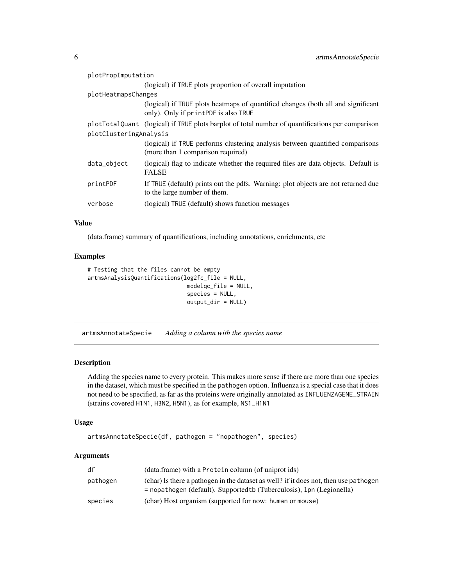<span id="page-5-0"></span>

| plotPropImputation     |                                                                                                                          |  |
|------------------------|--------------------------------------------------------------------------------------------------------------------------|--|
|                        | (logical) if TRUE plots proportion of overall imputation                                                                 |  |
| plotHeatmapsChanges    |                                                                                                                          |  |
|                        | (logical) if TRUE plots heatmaps of quantified changes (both all and significant<br>only). Only if printPDF is also TRUE |  |
|                        | plotTotalQuant (logical) if TRUE plots barplot of total number of quantifications per comparison                         |  |
| plotClusteringAnalysis |                                                                                                                          |  |
|                        | (logical) if TRUE performs clustering analysis between quantified comparisons<br>(more than 1 comparison required)       |  |
| data_object            | (logical) flag to indicate whether the required files are data objects. Default is<br><b>FALSE</b>                       |  |
| printPDF               | If TRUE (default) prints out the pdfs. Warning: plot objects are not returned due<br>to the large number of them.        |  |
| verbose                | (logical) TRUE (default) shows function messages                                                                         |  |

#### Value

(data.frame) summary of quantifications, including annotations, enrichments, etc

#### Examples

```
# Testing that the files cannot be empty
artmsAnalysisQuantifications(log2fc_file = NULL,
                              modelqc_file = NULL,
                              species = NULL,
                              output_dir = NULL)
```
artmsAnnotateSpecie *Adding a column with the species name*

#### Description

Adding the species name to every protein. This makes more sense if there are more than one species in the dataset, which must be specified in the pathogen option. Influenza is a special case that it does not need to be specified, as far as the proteins were originally annotated as INFLUENZAGENE\_STRAIN (strains covered H1N1, H3N2, H5N1), as for example, NS1\_H1N1

#### Usage

```
artmsAnnotateSpecie(df, pathogen = "nopathogen", species)
```
#### Arguments

| df       | (data.frame) with a Protein column (of uniprot ids)                                                                                                             |
|----------|-----------------------------------------------------------------------------------------------------------------------------------------------------------------|
| pathogen | (char) Is there a pathogen in the dataset as well? if it does not, then use pathogen<br>$=$ nopathogen (default). Supported to (Tuberculosis), 1pn (Legionella) |
| species  | (char) Host organism (supported for now: human or mouse)                                                                                                        |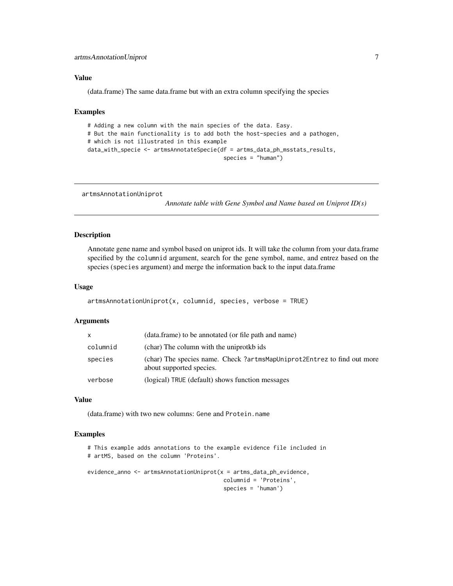#### <span id="page-6-0"></span>Value

(data.frame) The same data.frame but with an extra column specifying the species

#### Examples

```
# Adding a new column with the main species of the data. Easy.
# But the main functionality is to add both the host-species and a pathogen,
# which is not illustrated in this example
data_with_specie <- artmsAnnotateSpecie(df = artms_data_ph_msstats_results,
                                         species = "human")
```
artmsAnnotationUniprot

*Annotate table with Gene Symbol and Name based on Uniprot ID(s)*

#### Description

Annotate gene name and symbol based on uniprot ids. It will take the column from your data.frame specified by the columnid argument, search for the gene symbol, name, and entrez based on the species (species argument) and merge the information back to the input data.frame

#### Usage

```
artmsAnnotationUniprot(x, columnid, species, verbose = TRUE)
```
#### Arguments

| X        | (data.frame) to be annotated (or file path and name)                                                |
|----------|-----------------------------------------------------------------------------------------------------|
| columnid | (char) The column with the uniprotkb ids                                                            |
| species  | (char) The species name. Check ?artmsMapUniprot2Entrez to find out more<br>about supported species. |
| verbose  | (logical) TRUE (default) shows function messages                                                    |

#### Value

(data.frame) with two new columns: Gene and Protein.name

#### Examples

```
# This example adds annotations to the example evidence file included in
# artMS, based on the column 'Proteins'.
evidence_anno <- artmsAnnotationUniprot(x = artms_data_ph_evidence,
                                         columnid = 'Proteins',
                                         species = 'human')
```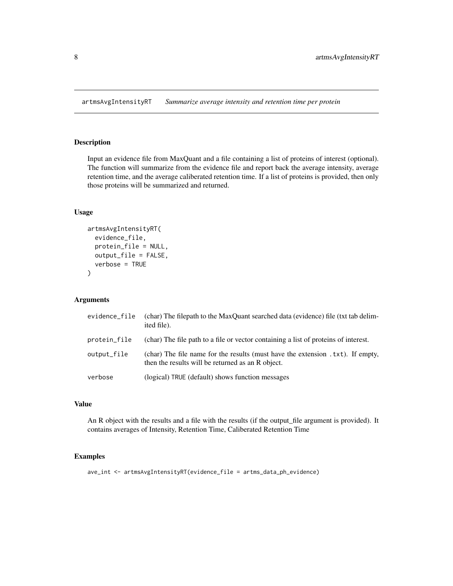<span id="page-7-0"></span>artmsAvgIntensityRT *Summarize average intensity and retention time per protein*

#### Description

Input an evidence file from MaxQuant and a file containing a list of proteins of interest (optional). The function will summarize from the evidence file and report back the average intensity, average retention time, and the average caliberated retention time. If a list of proteins is provided, then only those proteins will be summarized and returned.

#### Usage

```
artmsAvgIntensityRT(
  evidence_file,
  protein_file = NULL,
  output_file = FALSE,
  verbose = TRUE
\mathcal{E}
```
#### Arguments

| evidence_file | (char) The filepath to the MaxQuant searched data (evidence) file (txt tab delim-<br>ited file).                                     |
|---------------|--------------------------------------------------------------------------------------------------------------------------------------|
| protein_file  | (char) The file path to a file or vector containing a list of proteins of interest.                                                  |
| output_file   | (char) The file name for the results (must have the extension . txt). If empty,<br>then the results will be returned as an R object. |
| verbose       | (logical) TRUE (default) shows function messages                                                                                     |

#### Value

An R object with the results and a file with the results (if the output\_file argument is provided). It contains averages of Intensity, Retention Time, Caliberated Retention Time

#### Examples

ave\_int <- artmsAvgIntensityRT(evidence\_file = artms\_data\_ph\_evidence)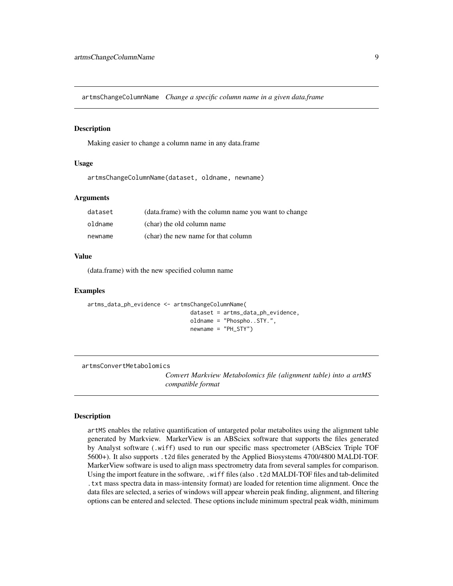<span id="page-8-0"></span>artmsChangeColumnName *Change a specific column name in a given data.frame*

#### Description

Making easier to change a column name in any data.frame

#### Usage

artmsChangeColumnName(dataset, oldname, newname)

#### Arguments

| dataset | (data.frame) with the column name you want to change |
|---------|------------------------------------------------------|
| oldname | (char) the old column name                           |
| newname | (char) the new name for that column                  |

#### Value

(data.frame) with the new specified column name

#### Examples

```
artms_data_ph_evidence <- artmsChangeColumnName(
                               dataset = artms_data_ph_evidence,
                               oldname = "Phospho..STY.",
                               newname = "PH_STY")
```
artmsConvertMetabolomics

*Convert Markview Metabolomics file (alignment table) into a artMS compatible format*

#### **Description**

artMS enables the relative quantification of untargeted polar metabolites using the alignment table generated by Markview. MarkerView is an ABSciex software that supports the files generated by Analyst software (.wiff) used to run our specific mass spectrometer (ABSciex Triple TOF 5600+). It also supports .t2d files generated by the Applied Biosystems 4700/4800 MALDI-TOF. MarkerView software is used to align mass spectrometry data from several samples for comparison. Using the import feature in the software, .wiff files (also .t2d MALDI-TOF files and tab-delimited .txt mass spectra data in mass-intensity format) are loaded for retention time alignment. Once the data files are selected, a series of windows will appear wherein peak finding, alignment, and filtering options can be entered and selected. These options include minimum spectral peak width, minimum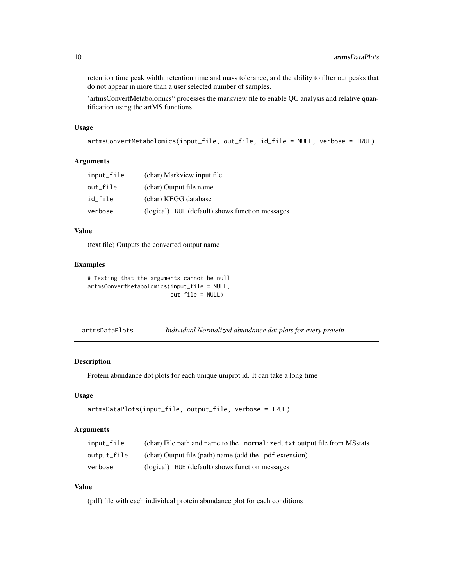<span id="page-9-0"></span>retention time peak width, retention time and mass tolerance, and the ability to filter out peaks that do not appear in more than a user selected number of samples.

'artmsConvertMetabolomics" processes the markview file to enable QC analysis and relative quantification using the artMS functions

#### Usage

```
artmsConvertMetabolomics(input_file, out_file, id_file = NULL, verbose = TRUE)
```
#### Arguments

| input_file | (char) Markview input file                       |
|------------|--------------------------------------------------|
| out file   | (char) Output file name                          |
| id file    | (char) KEGG database                             |
| verbose    | (logical) TRUE (default) shows function messages |

#### Value

(text file) Outputs the converted output name

#### Examples

```
# Testing that the arguments cannot be null
artmsConvertMetabolomics(input_file = NULL,
                        out_file = NULL)
```
#### Description

Protein abundance dot plots for each unique uniprot id. It can take a long time

#### Usage

```
artmsDataPlots(input_file, output_file, verbose = TRUE)
```
#### Arguments

| input_file  | (char) File path and name to the -normalized. txt output file from MSstats |
|-------------|----------------------------------------------------------------------------|
| output_file | (char) Output file (path) name (add the .pdf extension)                    |
| verbose     | (logical) TRUE (default) shows function messages                           |

#### Value

(pdf) file with each individual protein abundance plot for each conditions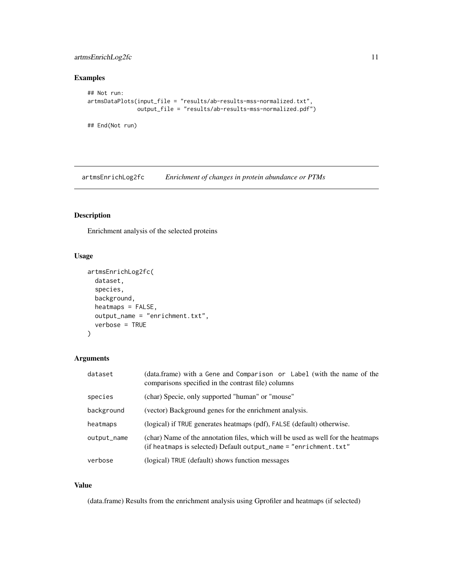#### <span id="page-10-0"></span>artmsEnrichLog2fc 11

#### Examples

```
## Not run:
artmsDataPlots(input_file = "results/ab-results-mss-normalized.txt",
               output_file = "results/ab-results-mss-normalized.pdf")
```
## End(Not run)

artmsEnrichLog2fc *Enrichment of changes in protein abundance or PTMs*

#### Description

Enrichment analysis of the selected proteins

#### Usage

```
artmsEnrichLog2fc(
  dataset,
  species,
 background,
  heatmaps = FALSE,
 output_name = "enrichment.txt",
  verbose = TRUE
)
```
#### Arguments

| dataset     | (data.frame) with a Gene and Comparison or Label (with the name of the<br>comparisons specified in the contrast file) columns                        |
|-------------|------------------------------------------------------------------------------------------------------------------------------------------------------|
| species     | (char) Specie, only supported "human" or "mouse"                                                                                                     |
| background  | (vector) Background genes for the enrichment analysis.                                                                                               |
| heatmaps    | (logical) if TRUE generates heatmaps (pdf), FALSE (default) otherwise.                                                                               |
| output_name | (char) Name of the annotation files, which will be used as well for the heatmaps<br>(if heatmaps is selected) Default output_name = "enrichment.txt" |
| verbose     | (logical) TRUE (default) shows function messages                                                                                                     |

#### Value

(data.frame) Results from the enrichment analysis using Gprofiler and heatmaps (if selected)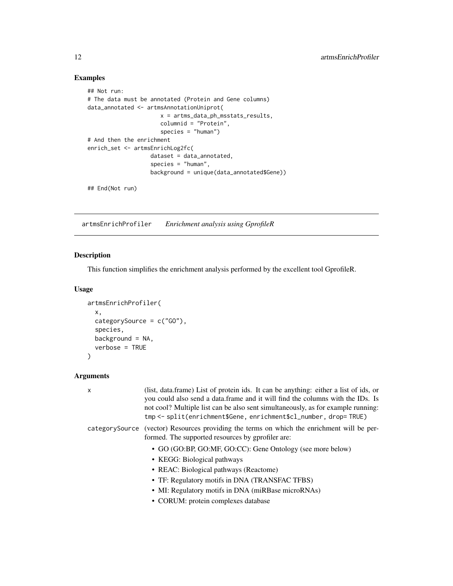#### Examples

```
## Not run:
# The data must be annotated (Protein and Gene columns)
data_annotated <- artmsAnnotationUniprot(
                     x = artms_data_ph_msstats_results,
                     columnid = "Protein",
                     species = "human")
# And then the enrichment
enrich_set <- artmsEnrichLog2fc(
                  dataset = data_annotated,
                   species = "human",
                  background = unique(data_annotated$Gene))
## End(Not run)
```
artmsEnrichProfiler *Enrichment analysis using GprofileR*

Description

#### This function simplifies the enrichment analysis performed by the excellent tool GprofileR.

#### Usage

```
artmsEnrichProfiler(
  x,
  categorySource = c("GO"),
  species,
 background = NA,
  verbose = TRUE
)
```
#### Arguments

| X | (list, data.frame) List of protein ids. It can be anything: either a list of ids, or<br>you could also send a data.frame and it will find the columns with the IDs. Is<br>not cool? Multiple list can be also sent simultaneously, as for example running:<br>tmp <- split(enrichment\$Gene, enrichment\$cl_number, drop= TRUE) |
|---|---------------------------------------------------------------------------------------------------------------------------------------------------------------------------------------------------------------------------------------------------------------------------------------------------------------------------------|
|   | categorySource (vector) Resources providing the terms on which the enrichment will be per-<br>formed. The supported resources by gprofiler are:                                                                                                                                                                                 |
|   | • GO (GO:BP, GO:MF, GO:CC): Gene Ontology (see more below)                                                                                                                                                                                                                                                                      |
|   | • KEGG: Biological pathways                                                                                                                                                                                                                                                                                                     |
|   | • REAC: Biological pathways (Reactome)                                                                                                                                                                                                                                                                                          |
|   | • TF: Regulatory motifs in DNA (TRANSFAC TFBS)                                                                                                                                                                                                                                                                                  |
|   | • MI: Regulatory motifs in DNA (miRBase microRNAs)                                                                                                                                                                                                                                                                              |
|   | • CORUM: protein complexes database                                                                                                                                                                                                                                                                                             |
|   |                                                                                                                                                                                                                                                                                                                                 |

<span id="page-11-0"></span>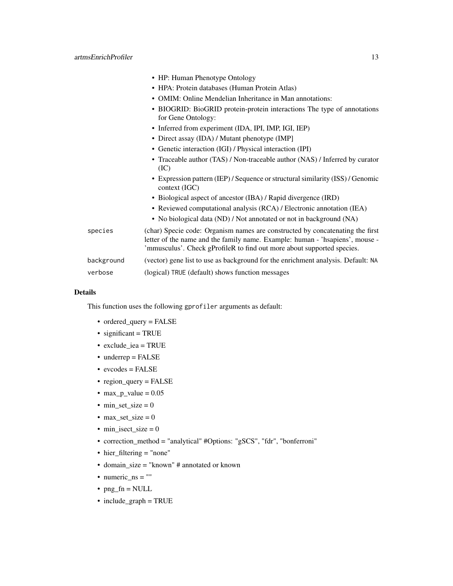|            | • HP: Human Phenotype Ontology                                                                                                                                                                                                          |
|------------|-----------------------------------------------------------------------------------------------------------------------------------------------------------------------------------------------------------------------------------------|
|            | • HPA: Protein databases (Human Protein Atlas)                                                                                                                                                                                          |
|            | • OMIM: Online Mendelian Inheritance in Man annotations:                                                                                                                                                                                |
|            | • BIOGRID: BioGRID protein-protein interactions The type of annotations<br>for Gene Ontology:                                                                                                                                           |
|            | • Inferred from experiment (IDA, IPI, IMP, IGI, IEP)                                                                                                                                                                                    |
|            | • Direct assay (IDA) / Mutant phenotype (IMP]                                                                                                                                                                                           |
|            | • Genetic interaction (IGI) / Physical interaction (IPI)                                                                                                                                                                                |
|            | • Traceable author (TAS) / Non-traceable author (NAS) / Inferred by curator<br>(IC)                                                                                                                                                     |
|            | • Expression pattern (IEP) / Sequence or structural similarity (ISS) / Genomic<br>context (IGC)                                                                                                                                         |
|            | • Biological aspect of ancestor (IBA) / Rapid divergence (IRD)                                                                                                                                                                          |
|            | • Reviewed computational analysis (RCA) / Electronic annotation (IEA)                                                                                                                                                                   |
|            | • No biological data (ND) / Not annotated or not in background (NA)                                                                                                                                                                     |
| species    | (char) Specie code: Organism names are constructed by concatenating the first<br>letter of the name and the family name. Example: human - 'hsapiens', mouse -<br>'mmusculus'. Check gProfileR to find out more about supported species. |
| background | (vector) gene list to use as background for the enrichment analysis. Default: NA                                                                                                                                                        |
| verbose    | (logical) TRUE (default) shows function messages                                                                                                                                                                                        |
|            |                                                                                                                                                                                                                                         |

#### Details

This function uses the following gprofiler arguments as default:

- ordered\_query = FALSE
- significant = TRUE
- exclude\_iea = TRUE
- underrep = FALSE
- evcodes = FALSE
- region\_query = FALSE
- $max_p_value = 0.05$
- min\_set\_size  $= 0$
- max\_set\_size  $= 0$
- min\_isect\_size =  $0$
- correction\_method = "analytical" #Options: "gSCS", "fdr", "bonferroni"
- hier\_filtering = "none"
- domain\_size = "known" # annotated or known
- numeric\_ns = ""
- $png_fn = NULL$
- include\_graph = TRUE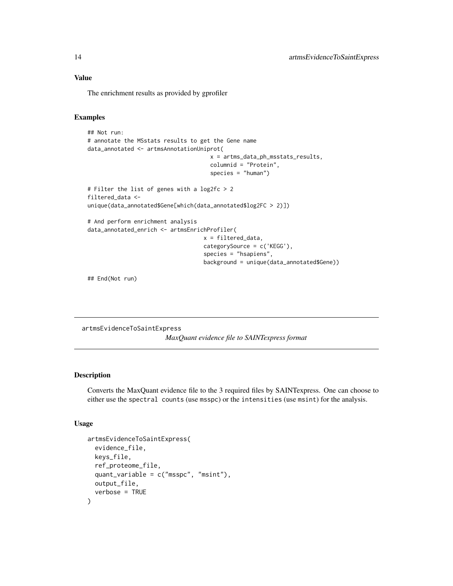#### <span id="page-13-0"></span>Value

The enrichment results as provided by gprofiler

#### Examples

```
## Not run:
# annotate the MSstats results to get the Gene name
data_annotated <- artmsAnnotationUniprot(
                                     x = artms_data_ph_msstats_results,
                                     columnid = "Protein",
                                     species = "human")
# Filter the list of genes with a log2fc > 2
filtered_data <-
unique(data_annotated$Gene[which(data_annotated$log2FC > 2)])
# And perform enrichment analysis
data_annotated_enrich <- artmsEnrichProfiler(
                                   x = filtered_data,
                                   categorySource = c('KEGG'),
                                   species = "hsapiens",
                                   background = unique(data_annotated$Gene))
```
## End(Not run)

artmsEvidenceToSaintExpress *MaxQuant evidence file to SAINTexpress format*

#### Description

Converts the MaxQuant evidence file to the 3 required files by SAINTexpress. One can choose to either use the spectral counts (use msspc) or the intensities (use msint) for the analysis.

#### Usage

```
artmsEvidenceToSaintExpress(
  evidence_file,
  keys_file,
  ref_proteome_file,
  quant_variable = c("msspc", "msint"),
 output_file,
  verbose = TRUE
)
```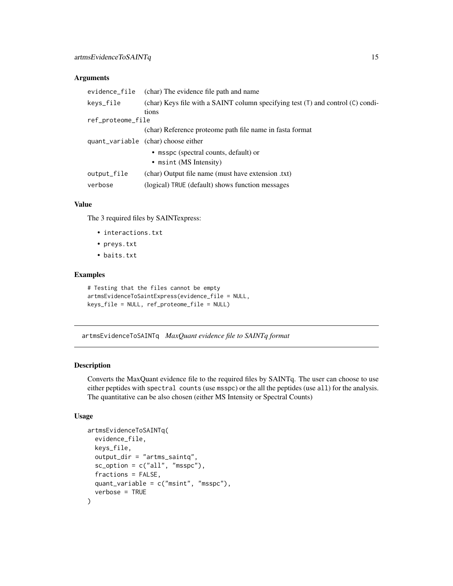#### <span id="page-14-0"></span>Arguments

| evidence_file     | (char) The evidence file path and name                                                   |  |
|-------------------|------------------------------------------------------------------------------------------|--|
| keys_file         | (char) Keys file with a SAINT column specifying test (T) and control (C) condi-<br>tions |  |
| ref_proteome_file |                                                                                          |  |
|                   | (char) Reference proteome path file name in fasta format                                 |  |
|                   | quant_variable (char) choose either                                                      |  |
|                   | • msspc (spectral counts, default) or                                                    |  |
|                   | $\bullet$ msint (MS Intensity)                                                           |  |
| output_file       | (char) Output file name (must have extension .txt)                                       |  |
| verbose           | (logical) TRUE (default) shows function messages                                         |  |

#### Value

The 3 required files by SAINTexpress:

- interactions.txt
- preys.txt
- baits.txt

#### Examples

```
# Testing that the files cannot be empty
artmsEvidenceToSaintExpress(evidence_file = NULL,
keys_file = NULL, ref_proteome_file = NULL)
```
artmsEvidenceToSAINTq *MaxQuant evidence file to SAINTq format*

#### Description

Converts the MaxQuant evidence file to the required files by SAINTq. The user can choose to use either peptides with spectral counts (use msspc) or the all the peptides (use all) for the analysis. The quantitative can be also chosen (either MS Intensity or Spectral Counts)

#### Usage

```
artmsEvidenceToSAINTq(
  evidence_file,
  keys_file,
  output_dir = "artms_saintq",
  sc\_option = c("all", "msspc"),fractions = FALSE,
  quant_variable = c("msint", "msspc"),
  verbose = TRUE
)
```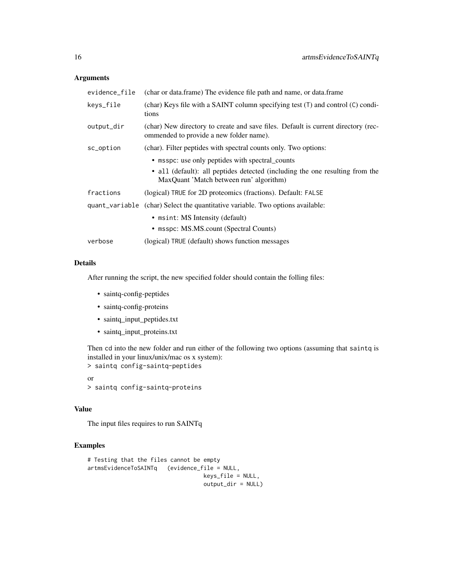#### Arguments

| evidence_file | (char or data.frame) The evidence file path and name, or data.frame                                                          |
|---------------|------------------------------------------------------------------------------------------------------------------------------|
| keys_file     | (char) Keys file with a SAINT column specifying test $(T)$ and control $(C)$ condi-<br>tions                                 |
| output_dir    | (char) New directory to create and save files. Default is current directory (rec-<br>ommended to provide a new folder name). |
| sc_option     | (char). Filter peptides with spectral counts only. Two options:                                                              |
|               | • msspc: use only peptides with spectral_counts                                                                              |
|               | • all (default): all peptides detected (including the one resulting from the<br>MaxQuant 'Match between run' algorithm)      |
| fractions     | (logical) TRUE for 2D proteomics (fractions). Default: FALSE                                                                 |
|               | quant_variable (char) Select the quantitative variable. Two options available:                                               |
|               | • msint: MS Intensity (default)                                                                                              |
|               | • msspc: MS.MS.count (Spectral Counts)                                                                                       |
| verbose       | (logical) TRUE (default) shows function messages                                                                             |

#### Details

After running the script, the new specified folder should contain the folling files:

- saintq-config-peptides
- saintq-config-proteins
- saintq\_input\_peptides.txt
- saintq\_input\_proteins.txt

Then cd into the new folder and run either of the following two options (assuming that saintq is installed in your linux/unix/mac os x system):

```
> saintq config-saintq-peptides
```
or > saintq config-saintq-proteins

#### Value

The input files requires to run SAINTq

#### Examples

```
# Testing that the files cannot be empty
artmsEvidenceToSAINTq (evidence_file = NULL,
                                  keys_file = NULL,
                                  output_dir = NULL)
```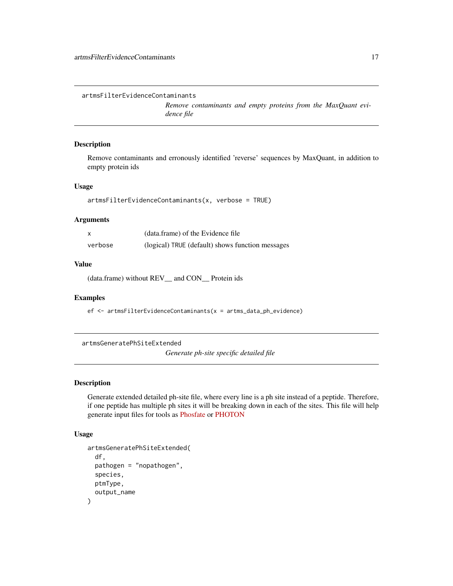<span id="page-16-0"></span>artmsFilterEvidenceContaminants

*Remove contaminants and empty proteins from the MaxQuant evidence file*

#### Description

Remove contaminants and erronously identified 'reverse' sequences by MaxQuant, in addition to empty protein ids

#### Usage

```
artmsFilterEvidenceContaminants(x, verbose = TRUE)
```
#### Arguments

|         | (data.frame) of the Evidence file                |
|---------|--------------------------------------------------|
| verbose | (logical) TRUE (default) shows function messages |

#### Value

(data.frame) without REV\_\_ and CON\_\_ Protein ids

#### Examples

ef <- artmsFilterEvidenceContaminants(x = artms\_data\_ph\_evidence)

artmsGeneratePhSiteExtended

*Generate ph-site specific detailed file*

#### Description

Generate extended detailed ph-site file, where every line is a ph site instead of a peptide. Therefore, if one peptide has multiple ph sites it will be breaking down in each of the sites. This file will help generate input files for tools as [Phosfate](http://phosfate.com/) or [PHOTON](https://github.com/jdrudolph/photon)

#### Usage

```
artmsGeneratePhSiteExtended(
  df,
 pathogen = "nopathogen",
  species,
 ptmType,
  output_name
)
```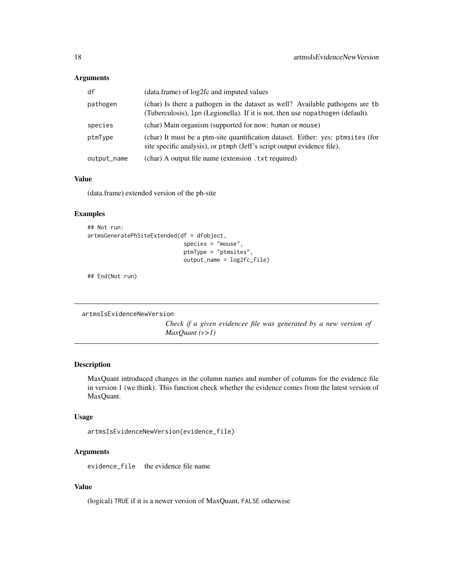#### <span id="page-17-0"></span>Arguments

| df          | (data.frame) of log2fc and imputed values                                                                                                                       |
|-------------|-----------------------------------------------------------------------------------------------------------------------------------------------------------------|
| pathogen    | (char) Is there a pathogen in the dataset as well? Available pathogens are tb<br>(Tuberculosis), 1pn (Legionella). If it is not, then use nopathogen (default). |
| species     | (char) Main organism (supported for now: human or mouse)                                                                                                        |
| ptmType     | (char) It must be a ptm-site quantification dataset. Either: yes: ptmsites (for<br>site specific analysis), or ptmph (Jeff's script output evidence file).      |
| output_name | (char) A output file name (extension . txt required)                                                                                                            |

#### Value

(data.frame) extended version of the ph-site

#### Examples

```
## Not run:
artmsGeneratePhSiteExtended(df = dfobject,
                             species = "mouse",
                             ptmType = "ptmsites",
                             output_name = log2fc_file)
```
## End(Not run)

```
artmsIsEvidenceNewVersion
```
*Check if a given evidencee file was generated by a new version of MaxQuant (v>1)*

#### Description

MaxQuant introduced changes in the column names and number of columns for the evidence file in version 1 (we think). This function check whether the evidence comes from the latest version of MaxQuant.

#### Usage

```
artmsIsEvidenceNewVersion(evidence_file)
```
#### Arguments

evidence\_file the evidence file name

#### Value

(logical) TRUE if it is a newer version of MaxQuant, FALSE otherwise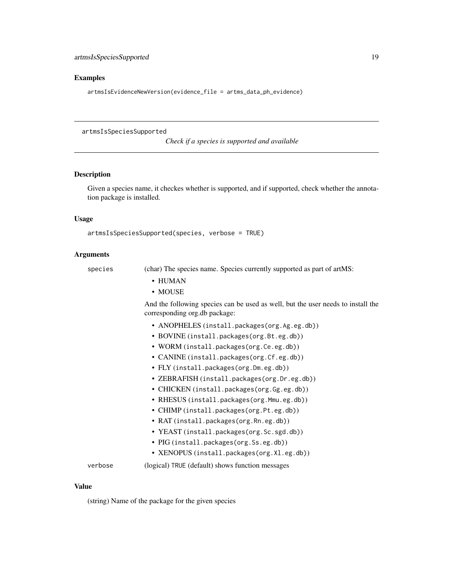#### <span id="page-18-0"></span>Examples

artmsIsEvidenceNewVersion(evidence\_file = artms\_data\_ph\_evidence)

artmsIsSpeciesSupported

*Check if a species is supported and available*

#### Description

Given a species name, it checkes whether is supported, and if supported, check whether the annotation package is installed.

#### Usage

```
artmsIsSpeciesSupported(species, verbose = TRUE)
```
#### Arguments

species (char) The species name. Species currently supported as part of artMS:

- HUMAN
- MOUSE

And the following species can be used as well, but the user needs to install the corresponding org.db package:

- ANOPHELES (install.packages(org.Ag.eg.db))
- BOVINE (install.packages(org.Bt.eg.db))
- WORM (install.packages(org.Ce.eg.db))
- CANINE (install.packages(org.Cf.eg.db))
- FLY (install.packages(org.Dm.eg.db))
- ZEBRAFISH (install.packages(org.Dr.eg.db))
- CHICKEN (install.packages(org.Gg.eg.db))
- RHESUS (install.packages(org.Mmu.eg.db))
- CHIMP (install.packages(org.Pt.eg.db))
- RAT (install.packages(org.Rn.eg.db))
- YEAST (install.packages(org.Sc.sgd.db))
- PIG (install.packages(org.Ss.eg.db))
- XENOPUS (install.packages(org.Xl.eg.db))

verbose (logical) TRUE (default) shows function messages

#### Value

(string) Name of the package for the given species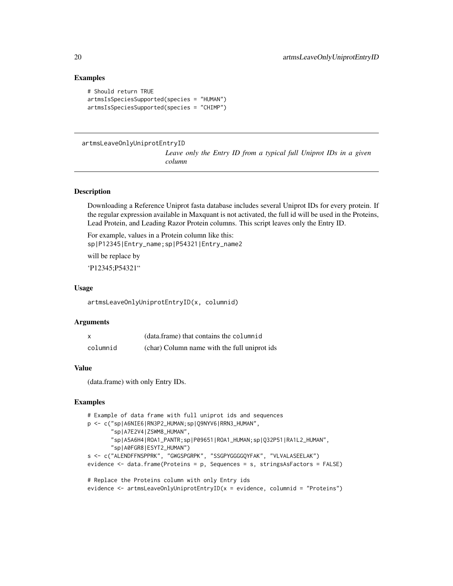#### Examples

```
# Should return TRUE
artmsIsSpeciesSupported(species = "HUMAN")
artmsIsSpeciesSupported(species = "CHIMP")
```
#### artmsLeaveOnlyUniprotEntryID

*Leave only the Entry ID from a typical full Uniprot IDs in a given column*

#### Description

Downloading a Reference Uniprot fasta database includes several Uniprot IDs for every protein. If the regular expression available in Maxquant is not activated, the full id will be used in the Proteins, Lead Protein, and Leading Razor Protein columns. This script leaves only the Entry ID.

For example, values in a Protein column like this: sp|P12345|Entry\_name;sp|P54321|Entry\_name2 will be replace by 'P12345;P54321"

#### Usage

artmsLeaveOnlyUniprotEntryID(x, columnid)

#### Arguments

| X        | (data.frame) that contains the columnid      |
|----------|----------------------------------------------|
| columnid | (char) Column name with the full uniprot ids |

#### Value

(data.frame) with only Entry IDs.

#### Examples

```
# Example of data frame with full uniprot ids and sequences
p <- c("sp|A6NIE6|RN3P2_HUMAN;sp|Q9NYV6|RRN3_HUMAN",
      "sp|A7E2V4|ZSWM8_HUMAN",
      "sp|A5A6H4|ROA1_PANTR;sp|P09651|ROA1_HUMAN;sp|Q32P51|RA1L2_HUMAN",
       "sp|A0FGR8|ESYT2_HUMAN")
s <- c("ALENDFFNSPPRK", "GWGSPGRPK", "SSGPYGGGGQYFAK", "VLVALASEELAK")
evidence <- data.frame(Proteins = p, Sequences = s, stringsAsFactors = FALSE)
# Replace the Proteins column with only Entry ids
```
evidence <- artmsLeaveOnlyUniprotEntryID(x = evidence, columnid = "Proteins")

<span id="page-19-0"></span>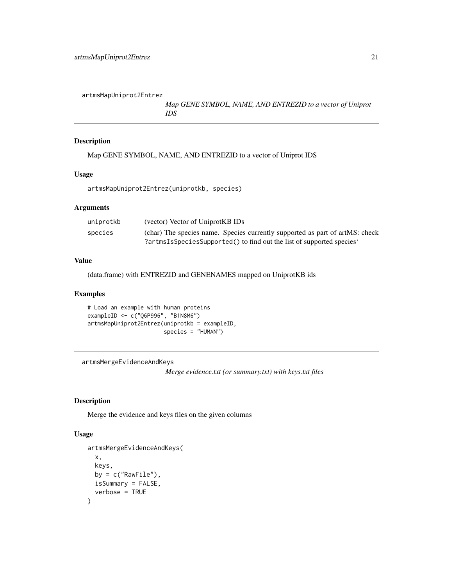<span id="page-20-0"></span>artmsMapUniprot2Entrez

*Map GENE SYMBOL, NAME, AND ENTREZID to a vector of Uniprot IDS*

#### Description

Map GENE SYMBOL, NAME, AND ENTREZID to a vector of Uniprot IDS

#### Usage

artmsMapUniprot2Entrez(uniprotkb, species)

#### Arguments

| uniprotkb | (vector) Vector of UniprotKB IDs                                             |
|-----------|------------------------------------------------------------------------------|
| species   | (char) The species name. Species currently supported as part of artMS: check |
|           | ?artmsIsSpeciesSupported() to find out the list of supported species'        |

#### Value

(data.frame) with ENTREZID and GENENAMES mapped on UniprotKB ids

#### Examples

```
# Load an example with human proteins
exampleID <- c("Q6P996", "B1N8M6")
artmsMapUniprot2Entrez(uniprotkb = exampleID,
                       species = "HUMAN")
```

```
artmsMergeEvidenceAndKeys
```
*Merge evidence.txt (or summary.txt) with keys.txt files*

#### Description

Merge the evidence and keys files on the given columns

#### Usage

```
artmsMergeEvidenceAndKeys(
  x,
 keys,
 by = c("RawFile"),
 isSummary = FALSE,
  verbose = TRUE
)
```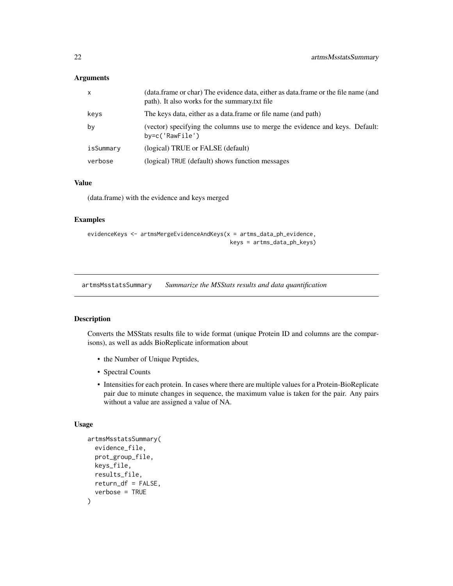#### <span id="page-21-0"></span>Arguments

| $\mathsf{x}$ | (data.frame or char) The evidence data, either as data.frame or the file name (and<br>path). It also works for the summary txt file |
|--------------|-------------------------------------------------------------------------------------------------------------------------------------|
| keys         | The keys data, either as a data.frame or file name (and path)                                                                       |
| by           | (vector) specifying the columns use to merge the evidence and keys. Default:<br>$by=c('RawFile')$                                   |
| isSummary    | (logical) TRUE or FALSE (default)                                                                                                   |
| verbose      | (logical) TRUE (default) shows function messages                                                                                    |

#### Value

(data.frame) with the evidence and keys merged

#### Examples

```
evidenceKeys <- artmsMergeEvidenceAndKeys(x = artms_data_ph_evidence,
                                           keys = artms_data_ph_keys)
```
artmsMsstatsSummary *Summarize the MSStats results and data quantification*

#### Description

Converts the MSStats results file to wide format (unique Protein ID and columns are the comparisons), as well as adds BioReplicate information about

- the Number of Unique Peptides,
- Spectral Counts
- Intensities for each protein. In cases where there are multiple values for a Protein-BioReplicate pair due to minute changes in sequence, the maximum value is taken for the pair. Any pairs without a value are assigned a value of NA.

#### Usage

```
artmsMsstatsSummary(
  evidence_file,
 prot_group_file,
 keys_file,
  results_file,
  return_df = FALSE,
  verbose = TRUE
)
```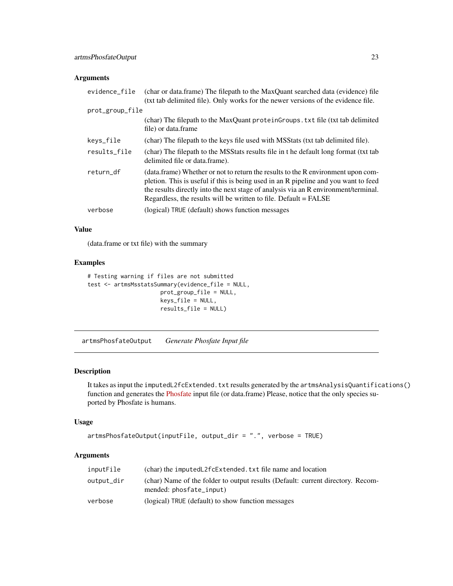#### <span id="page-22-0"></span>Arguments

| evidence_file   | (char or data.frame) The filepath to the MaxQuant searched data (evidence) file<br>(txt tab delimited file). Only works for the newer versions of the evidence file.                                                                                                                                                               |
|-----------------|------------------------------------------------------------------------------------------------------------------------------------------------------------------------------------------------------------------------------------------------------------------------------------------------------------------------------------|
| prot_group_file |                                                                                                                                                                                                                                                                                                                                    |
|                 | (char) The filepath to the MaxQuant proteinGroups. txt file (txt tab delimited<br>file) or data.frame                                                                                                                                                                                                                              |
| keys_file       | (char) The filepath to the keys file used with MSStats (txt tab delimited file).                                                                                                                                                                                                                                                   |
| results_file    | (char) The filepath to the MSStats results file in t he default long format (txt tab<br>delimited file or data.frame).                                                                                                                                                                                                             |
| return df       | (data.frame) Whether or not to return the results to the R environment upon com-<br>pletion. This is useful if this is being used in an R pipeline and you want to feed<br>the results directly into the next stage of analysis via an R environment/terminal.<br>Regardless, the results will be written to file. Default = FALSE |
| verbose         | (logical) TRUE (default) shows function messages                                                                                                                                                                                                                                                                                   |

#### Value

(data.frame or txt file) with the summary

#### Examples

```
# Testing warning if files are not submitted
test <- artmsMsstatsSummary(evidence_file = NULL,
                      prot_group_file = NULL,
                      keys_file = NULL,
                      results_file = NULL)
```
artmsPhosfateOutput *Generate Phosfate Input file*

#### Description

It takes as input the imputedL2fcExtended.txt results generated by the artmsAnalysisQuantifications() function and generates the [Phosfate](http://phosfate.com/) input file (or data.frame) Please, notice that the only species suported by Phosfate is humans.

#### Usage

```
artmsPhosfateOutput(inputFile, output_dir = ".", verbose = TRUE)
```
#### Arguments

| inputFile  | (char) the imputedL2fcExtended. txt file name and location                                                 |
|------------|------------------------------------------------------------------------------------------------------------|
| output_dir | (char) Name of the folder to output results (Default: current directory. Recom-<br>mended: phosfate_input) |
| verbose    | (logical) TRUE (default) to show function messages                                                         |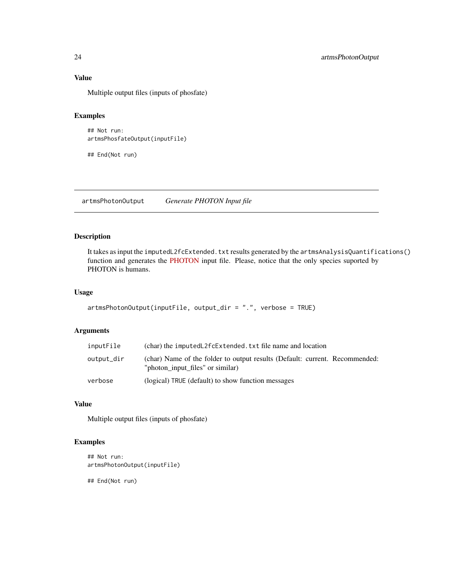#### <span id="page-23-0"></span>Value

Multiple output files (inputs of phosfate)

#### Examples

```
## Not run:
artmsPhosfateOutput(inputFile)
```
## End(Not run)

artmsPhotonOutput *Generate PHOTON Input file*

#### Description

It takes as input the imputedL2fcExtended.txt results generated by the artmsAnalysisQuantifications() function and generates the [PHOTON](https://github.com/jdrudolph/photon) input file. Please, notice that the only species suported by PHOTON is humans.

#### Usage

```
artmsPhotonOutput(inputFile, output_dir = ".", verbose = TRUE)
```
#### Arguments

| inputFile  | (char) the imputed L2fc Extended. txt file name and location                                                    |
|------------|-----------------------------------------------------------------------------------------------------------------|
| output dir | (char) Name of the folder to output results (Default: current. Recommended:<br>"photon input files" or similar) |
| verbose    | (logical) TRUE (default) to show function messages                                                              |

#### Value

Multiple output files (inputs of phosfate)

#### Examples

```
## Not run:
artmsPhotonOutput(inputFile)
```
## End(Not run)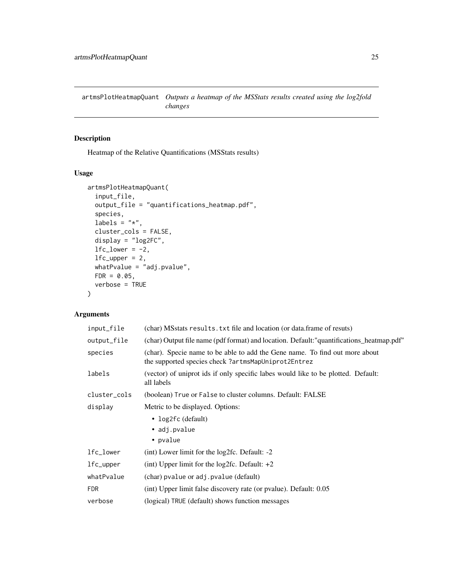<span id="page-24-0"></span>artmsPlotHeatmapQuant *Outputs a heatmap of the MSStats results created using the log2fold changes*

#### Description

Heatmap of the Relative Quantifications (MSStats results)

#### Usage

```
artmsPlotHeatmapQuant(
  input_file,
  output_file = "quantifications_heatmap.pdf",
  species,
  labels = "*",cluster_cols = FALSE,
  display = "log2FC",
  1fc\_lower = -2,
 lfc\_upper = 2,
 whatPvalue = "adj.pvalue",
 FDR = 0.05,
  verbose = TRUE
)
```
#### Arguments

| input_file   | (char) MSstats results. txt file and location (or data.frame of resuts)                                                           |
|--------------|-----------------------------------------------------------------------------------------------------------------------------------|
| output_file  | (char) Output file name (pdf format) and location. Default: "quantifications_heatmap.pdf"                                         |
| species      | (char). Specie name to be able to add the Gene name. To find out more about<br>the supported species check?artmsMapUniprot2Entrez |
| labels       | (vector) of uniprot ids if only specific labes would like to be plotted. Default:<br>all labels                                   |
| cluster_cols | (boolean) True or False to cluster columns. Default: FALSE                                                                        |
| display      | Metric to be displayed. Options:                                                                                                  |
|              | • $log2fc$ (default)                                                                                                              |
|              | • adj.pvalue                                                                                                                      |
|              | • pvalue                                                                                                                          |
| lfc_lower    | (int) Lower limit for the $log2fc$ . Default: $-2$                                                                                |
| lfc_upper    | (int) Upper limit for the $log2fc$ . Default: $+2$                                                                                |
| whatPvalue   | (char) pvalue or adj. pvalue (default)                                                                                            |
| <b>FDR</b>   | (int) Upper limit false discovery rate (or pvalue). Default: 0.05                                                                 |
| verbose      | (logical) TRUE (default) shows function messages                                                                                  |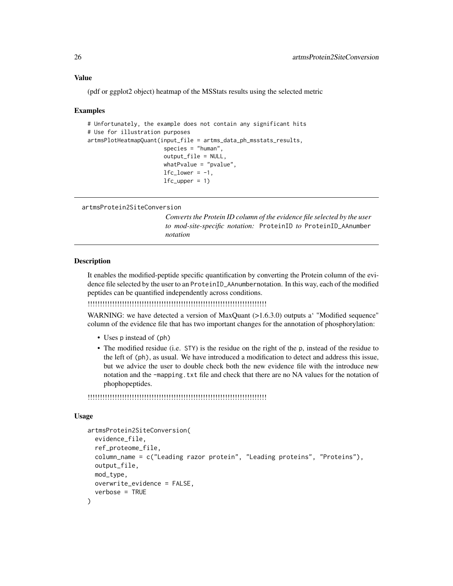(pdf or ggplot2 object) heatmap of the MSStats results using the selected metric

#### Examples

```
# Unfortunately, the example does not contain any significant hits
# Use for illustration purposes
artmsPlotHeatmapQuant(input_file = artms_data_ph_msstats_results,
                       species = "human",
                       output_file = NULL,
                       whatPvalue = "pvalue",
                       1fc\_lower = -1,lfc\_upper = 1)
```
artmsProtein2SiteConversion

*Converts the Protein ID column of the evidence file selected by the user to mod-site-specific notation:* ProteinID *to* ProteinID\_AAnumber *notation*

#### **Description**

It enables the modified-peptide specific quantification by converting the Protein column of the evidence file selected by the user to an ProteinID\_AAnumbernotation. In this way, each of the modified peptides can be quantified independently across conditions.

!!!!!!!!!!!!!!!!!!!!!!!!!!!!!!!!!!!!!!!!!!!!!!!!!!!!!!!!!!!!!!!!!!!!!!!!!

WARNING: we have detected a version of MaxQuant (>1.6.3.0) outputs a' "Modified sequence" column of the evidence file that has two important changes for the annotation of phosphorylation:

- Uses p instead of (ph)
- The modified residue (i.e. STY) is the residue on the right of the p, instead of the residue to the left of (ph), as usual. We have introduced a modification to detect and address this issue, but we advice the user to double check both the new evidence file with the introduce new notation and the -mapping.txt file and check that there are no NA values for the notation of phophopeptides.

!!!!!!!!!!!!!!!!!!!!!!!!!!!!!!!!!!!!!!!!!!!!!!!!!!!!!!!!!!!!!!!!!!!!!!!!!

#### Usage

```
artmsProtein2SiteConversion(
  evidence_file,
  ref_proteome_file,
  column_name = c("Leading razor protein", "Leading proteins", "Proteins"),
  output_file,
 mod_type,
 overwrite_evidence = FALSE,
  verbose = TRUE
)
```
<span id="page-25-0"></span>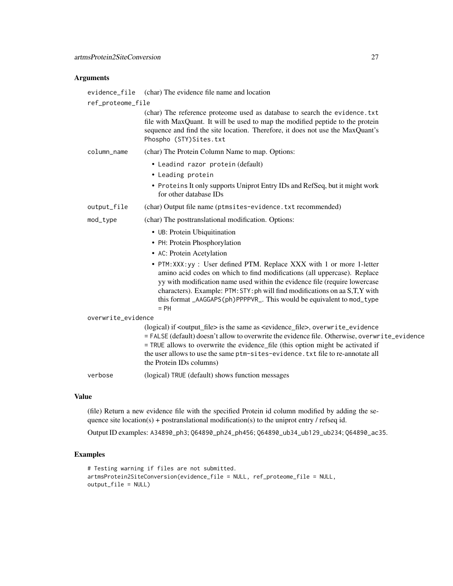#### Arguments

| evidence_file      | (char) The evidence file name and location                                                                                                                                                                                                                                                                                                                                                                         |  |
|--------------------|--------------------------------------------------------------------------------------------------------------------------------------------------------------------------------------------------------------------------------------------------------------------------------------------------------------------------------------------------------------------------------------------------------------------|--|
| ref_proteome_file  |                                                                                                                                                                                                                                                                                                                                                                                                                    |  |
|                    | (char) The reference proteome used as database to search the evidence. txt<br>file with MaxQuant. It will be used to map the modified peptide to the protein<br>sequence and find the site location. Therefore, it does not use the MaxQuant's<br>Phospho (STY)Sites.txt                                                                                                                                           |  |
| column_name        | (char) The Protein Column Name to map. Options:                                                                                                                                                                                                                                                                                                                                                                    |  |
|                    | • Leadind razor protein (default)                                                                                                                                                                                                                                                                                                                                                                                  |  |
|                    | • Leading protein                                                                                                                                                                                                                                                                                                                                                                                                  |  |
|                    | • Proteins It only supports Uniprot Entry IDs and RefSeq, but it might work<br>for other database IDs                                                                                                                                                                                                                                                                                                              |  |
| output_file        | (char) Output file name (ptmsites-evidence.txt recommended)                                                                                                                                                                                                                                                                                                                                                        |  |
| mod_type           | (char) The posttranslational modification. Options:                                                                                                                                                                                                                                                                                                                                                                |  |
|                    | • UB: Protein Ubiquitination                                                                                                                                                                                                                                                                                                                                                                                       |  |
|                    | • PH: Protein Phosphorylation                                                                                                                                                                                                                                                                                                                                                                                      |  |
|                    | • AC: Protein Acetylation                                                                                                                                                                                                                                                                                                                                                                                          |  |
|                    | • PTM: XXX: yy : User defined PTM. Replace XXX with 1 or more 1-letter<br>amino acid codes on which to find modifications (all uppercase). Replace<br>yy with modification name used within the evidence file (require lowercase<br>characters). Example: PTM: STY: ph will find modifications on aa S,T,Y with<br>this format _AAGGAPS(ph)PPPPVR_. This would be equivalent to mod_type<br>$= PH$                 |  |
| overwrite_evidence |                                                                                                                                                                                                                                                                                                                                                                                                                    |  |
|                    | (logical) if <output_file> is the same as <evidence_file>, overwrite_evidence<br/>= FALSE (default) doesn't allow to overwrite the evidence file. Otherwise, overwrite_evidence<br/>= TRUE allows to overwrite the evidence_file (this option might be activated if<br/>the user allows to use the same ptm-sites-evidence. txt file to re-annotate all<br/>the Protein IDs columns)</evidence_file></output_file> |  |
| verbose            | (logical) TRUE (default) shows function messages                                                                                                                                                                                                                                                                                                                                                                   |  |
|                    |                                                                                                                                                                                                                                                                                                                                                                                                                    |  |

#### Value

(file) Return a new evidence file with the specified Protein id column modified by adding the sequence site location(s) + postranslational modification(s) to the uniprot entry  $\ell$  refseq id.

Output ID examples: A34890\_ph3; Q64890\_ph24\_ph456; Q64890\_ub34\_ub129\_ub234; Q64890\_ac35.

#### Examples

```
# Testing warning if files are not submitted.
artmsProtein2SiteConversion(evidence_file = NULL, ref_proteome_file = NULL,
output_file = NULL)
```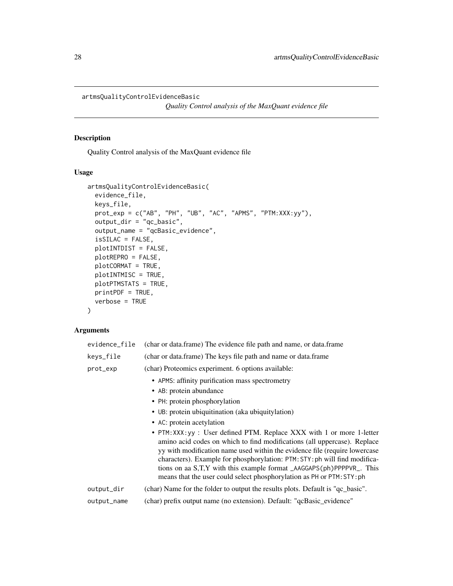<span id="page-27-0"></span>artmsQualityControlEvidenceBasic

*Quality Control analysis of the MaxQuant evidence file*

#### Description

Quality Control analysis of the MaxQuant evidence file

#### Usage

```
artmsQualityControlEvidenceBasic(
  evidence_file,
 keys_file,
 prot_exp = c("AB", "PH", "UB", "AC", "APMS", "PTM:XXX:yy"),
 output_dir = "qc_basic",
  output_name = "qcBasic_evidence",
  isSILAC = FALSE,
 plotINTDIST = FALSE,
 plotREPRO = FALSE,
 plotCORMAT = TRUE,
 plotINTMISC = TRUE,
 plotPTMSTATS = TRUE,
 printPDF = TRUE,
  verbose = TRUE
\lambda
```
#### Arguments

| evidence_file | (char or data.frame) The evidence file path and name, or data.frame                                                                                                                                                                                                                                                                                                                                                                                              |
|---------------|------------------------------------------------------------------------------------------------------------------------------------------------------------------------------------------------------------------------------------------------------------------------------------------------------------------------------------------------------------------------------------------------------------------------------------------------------------------|
| keys_file     | (char or data.frame) The keys file path and name or data.frame                                                                                                                                                                                                                                                                                                                                                                                                   |
| prot_exp      | (char) Proteomics experiment. 6 options available:                                                                                                                                                                                                                                                                                                                                                                                                               |
|               | • APMS: affinity purification mass spectrometry                                                                                                                                                                                                                                                                                                                                                                                                                  |
|               | • AB: protein abundance                                                                                                                                                                                                                                                                                                                                                                                                                                          |
|               | • PH: protein phosphorylation                                                                                                                                                                                                                                                                                                                                                                                                                                    |
|               | • UB: protein ubiquitination (aka ubiquitylation)                                                                                                                                                                                                                                                                                                                                                                                                                |
|               | • AC: protein acetylation                                                                                                                                                                                                                                                                                                                                                                                                                                        |
|               | • PTM: XXX: yy : User defined PTM. Replace XXX with 1 or more 1-letter<br>amino acid codes on which to find modifications (all uppercase). Replace<br>yy with modification name used within the evidence file (require lowercase<br>characters). Example for phosphorylation: PTM: STY: ph will find modifica-<br>tions on aa S,T,Y with this example format _AAGGAPS(ph)PPPPVR_. This<br>means that the user could select phosphorylation as PH or PTM: STY: ph |
| output_dir    | (char) Name for the folder to output the results plots. Default is "qc_basic".                                                                                                                                                                                                                                                                                                                                                                                   |
| output_name   | (char) prefix output name (no extension). Default: "qcBasic_evidence"                                                                                                                                                                                                                                                                                                                                                                                            |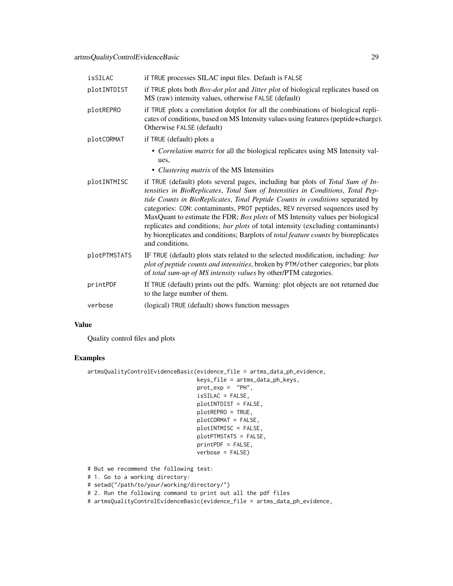| isSILAC      | if TRUE processes SILAC input files. Default is FALSE                                                                                                                                                                                                                                                                                                                                                                                                                                                                                                                                                                  |
|--------------|------------------------------------------------------------------------------------------------------------------------------------------------------------------------------------------------------------------------------------------------------------------------------------------------------------------------------------------------------------------------------------------------------------------------------------------------------------------------------------------------------------------------------------------------------------------------------------------------------------------------|
| plotINTDIST  | if TRUE plots both <i>Box-dot plot</i> and <i>Jitter plot</i> of biological replicates based on<br>MS (raw) intensity values, otherwise FALSE (default)                                                                                                                                                                                                                                                                                                                                                                                                                                                                |
| plotREPRO    | if TRUE plots a correlation dotplot for all the combinations of biological repli-<br>cates of conditions, based on MS Intensity values using features (peptide+charge).<br>Otherwise FALSE (default)                                                                                                                                                                                                                                                                                                                                                                                                                   |
| plotCORMAT   | if TRUE (default) plots a                                                                                                                                                                                                                                                                                                                                                                                                                                                                                                                                                                                              |
|              | • Correlation matrix for all the biological replicates using MS Intensity val-<br>ues,                                                                                                                                                                                                                                                                                                                                                                                                                                                                                                                                 |
|              | • Clustering matrix of the MS Intensities                                                                                                                                                                                                                                                                                                                                                                                                                                                                                                                                                                              |
| plotINTMISC  | if TRUE (default) plots several pages, including bar plots of Total Sum of In-<br>tensities in BioReplicates, Total Sum of Intensities in Conditions, Total Pep-<br>tide Counts in BioReplicates, Total Peptide Counts in conditions separated by<br>categories: CON: contaminants, PROT peptides, REV reversed sequences used by<br>MaxQuant to estimate the FDR; Box plots of MS Intensity values per biological<br>replicates and conditions; bar plots of total intensity (excluding contaminants)<br>by bioreplicates and conditions; Barplots of <i>total feature counts</i> by bioreplicates<br>and conditions. |
| plotPTMSTATS | IF TRUE (default) plots stats related to the selected modification, including: bar<br>plot of peptide counts and intensities, broken by PTM/other categories; bar plots<br>of total sum-up of MS intensity values by other/PTM categories.                                                                                                                                                                                                                                                                                                                                                                             |
| printPDF     | If TRUE (default) prints out the pdfs. Warning: plot objects are not returned due<br>to the large number of them.                                                                                                                                                                                                                                                                                                                                                                                                                                                                                                      |
| verbose      | (logical) TRUE (default) shows function messages                                                                                                                                                                                                                                                                                                                                                                                                                                                                                                                                                                       |

#### Value

Quality control files and plots

#### Examples

```
artmsQualityControlEvidenceBasic(evidence_file = artms_data_ph_evidence,
```
keys\_file = artms\_data\_ph\_keys, prot\_exp = "PH", isSILAC = FALSE, plotINTDIST = FALSE, plotREPRO = TRUE, plotCORMAT = FALSE, plotINTMISC = FALSE, plotPTMSTATS = FALSE, printPDF = FALSE, verbose = FALSE)

# But we recommend the following test:

# 1. Go to a working directory:

- # setwd("/path/to/your/working/directory/")
- # 2. Run the following command to print out all the pdf files
- # artmsQualityControlEvidenceBasic(evidence\_file = artms\_data\_ph\_evidence,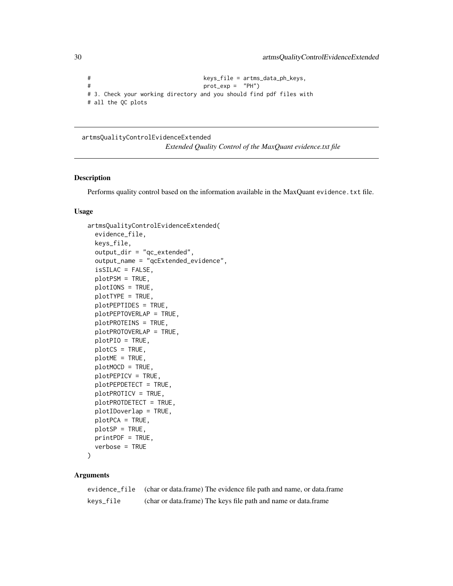```
# keys_file = artms_data_ph_keys,
# prot_exp = "PH")
# 3. Check your working directory and you should find pdf files with
# all the QC plots
```
#### artmsQualityControlEvidenceExtended

*Extended Quality Control of the MaxQuant evidence.txt file*

#### Description

Performs quality control based on the information available in the MaxQuant evidence. txt file.

#### Usage

```
artmsQualityControlEvidenceExtended(
  evidence_file,
  keys_file,
  output_dir = "qc_extended",
  output_name = "qcExtended_evidence",
  isSILAC = FALSE,
  plotPSM = TRUE,
 plotIONS = TRUE,
 plotTYPE = TRUE,
 plotPEPTIDES = TRUE,
 plotPEPTOVERLAP = TRUE,
 plotPROTEINS = TRUE,
 plotPROTOVERLAP = TRUE,
 plotPIO = TRUE,
 plotCS = TRUE,
 plotME = TRUE,
  plotMOCD = TRUE,
 plotPEPICV = TRUE,
 plotPEPDETECT = TRUE,
 plotPROTICV = TRUE,
 plotPROTDETECT = TRUE,
 plotIDoverlap = TRUE,
 plotPCA = TRUE,
 plotSP = TRUE,
 printPDF = TRUE,
  verbose = TRUE
```

```
)
```
#### Arguments

|           | evidence_file (char or data.frame) The evidence file path and name, or data.frame |
|-----------|-----------------------------------------------------------------------------------|
| keys_file | (char or data.frame) The keys file path and name or data.frame                    |

<span id="page-29-0"></span>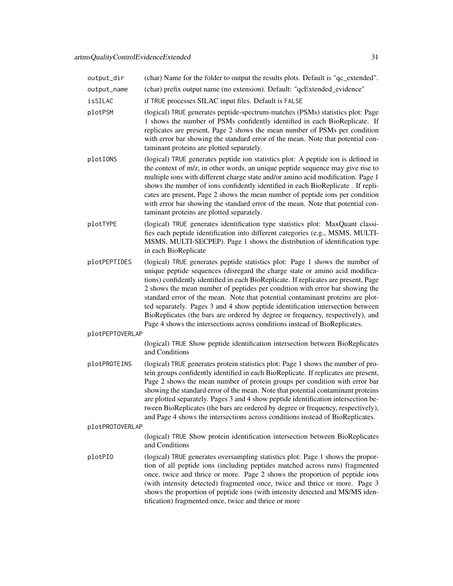| output_dir      | (char) Name for the folder to output the results plots. Default is "qc_extended".                                                                                                                                                                                                                                                                                                                                                                                                                                                                                                                                                                                       |
|-----------------|-------------------------------------------------------------------------------------------------------------------------------------------------------------------------------------------------------------------------------------------------------------------------------------------------------------------------------------------------------------------------------------------------------------------------------------------------------------------------------------------------------------------------------------------------------------------------------------------------------------------------------------------------------------------------|
| output_name     | (char) prefix output name (no extension). Default: "qcExtended_evidence"                                                                                                                                                                                                                                                                                                                                                                                                                                                                                                                                                                                                |
| isSILAC         | if TRUE processes SILAC input files. Default is FALSE                                                                                                                                                                                                                                                                                                                                                                                                                                                                                                                                                                                                                   |
| plotPSM         | (logical) TRUE generates peptide-spectrum-matches (PSMs) statistics plot: Page<br>1 shows the number of PSMs confidently identified in each BioReplicate. If<br>replicates are present, Page 2 shows the mean number of PSMs per condition<br>with error bar showing the standard error of the mean. Note that potential con-<br>taminant proteins are plotted separately.                                                                                                                                                                                                                                                                                              |
| plotIONS        | (logical) TRUE generates peptide ion statistics plot: A peptide ion is defined in<br>the context of m/z, in other words, an unique peptide sequence may give rise to<br>multiple ions with different charge state and/or amino acid modification. Page 1<br>shows the number of ions confidently identified in each BioReplicate. If repli-<br>cates are present, Page 2 shows the mean number of peptide ions per condition<br>with error bar showing the standard error of the mean. Note that potential con-<br>taminant proteins are plotted separately.                                                                                                            |
| plotTYPE        | (logical) TRUE generates identification type statistics plot: MaxQuant classi-<br>fies each peptide identification into different categories (e.g., MSMS, MULTI-<br>MSMS, MULTI-SECPEP). Page 1 shows the distribution of identification type<br>in each BioReplicate                                                                                                                                                                                                                                                                                                                                                                                                   |
| plotPEPTIDES    | (logical) TRUE generates peptide statistics plot: Page 1 shows the number of<br>unique peptide sequences (disregard the charge state or amino acid modifica-<br>tions) confidently identified in each BioReplicate. If replicates are present, Page<br>2 shows the mean number of peptides per condition with error bar showing the<br>standard error of the mean. Note that potential contaminant proteins are plot-<br>ted separately. Pages 3 and 4 show peptide identification intersection between<br>BioReplicates (the bars are ordered by degree or frequency, respectively), and<br>Page 4 shows the intersections across conditions instead of BioReplicates. |
| plotPEPTOVERLAP |                                                                                                                                                                                                                                                                                                                                                                                                                                                                                                                                                                                                                                                                         |
|                 | (logical) TRUE Show peptide identification intersection between BioReplicates<br>and Conditions                                                                                                                                                                                                                                                                                                                                                                                                                                                                                                                                                                         |
| plotPROTEINS    | (logical) TRUE generates protein statistics plot: Page 1 shows the number of pro-<br>tein groups confidently identified in each BioReplicate. If replicates are present,<br>Page 2 shows the mean number of protein groups per condition with error bar<br>showing the standard error of the mean. Note that potential contaminant proteins<br>are plotted separately. Pages 3 and 4 show peptide identification intersection be-                                                                                                                                                                                                                                       |

plotPROTOVERLAP

(logical) TRUE Show protein identification intersection between BioReplicates and Conditions

tween BioReplicates (the bars are ordered by degree or frequency, respectively), and Page 4 shows the intersections across conditions instead of BioReplicates.

plotPIO (logical) TRUE generates oversampling statistics plot: Page 1 shows the proportion of all peptide ions (including peptides matched across runs) fragmented once, twice and thrice or more. Page 2 shows the proportion of peptide ions (with intensity detected) fragmented once, twice and thrice or more. Page 3 shows the proportion of peptide ions (with intensity detected and MS/MS identification) fragmented once, twice and thrice or more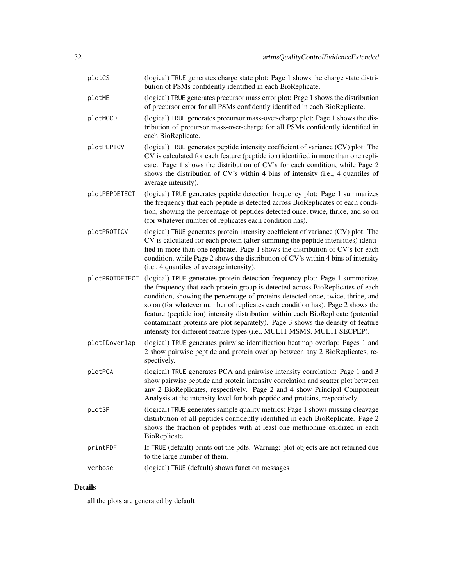| plotCS         | (logical) TRUE generates charge state plot: Page 1 shows the charge state distri-<br>bution of PSMs confidently identified in each BioReplicate.                                                                                                                                                                                                                                                                                                                                                                                                                                     |
|----------------|--------------------------------------------------------------------------------------------------------------------------------------------------------------------------------------------------------------------------------------------------------------------------------------------------------------------------------------------------------------------------------------------------------------------------------------------------------------------------------------------------------------------------------------------------------------------------------------|
| plotME         | (logical) TRUE generates precursor mass error plot: Page 1 shows the distribution<br>of precursor error for all PSMs confidently identified in each BioReplicate.                                                                                                                                                                                                                                                                                                                                                                                                                    |
| plotMOCD       | (logical) TRUE generates precursor mass-over-charge plot: Page 1 shows the dis-<br>tribution of precursor mass-over-charge for all PSMs confidently identified in<br>each BioReplicate.                                                                                                                                                                                                                                                                                                                                                                                              |
| plotPEPICV     | (logical) TRUE generates peptide intensity coefficient of variance (CV) plot: The<br>CV is calculated for each feature (peptide ion) identified in more than one repli-<br>cate. Page 1 shows the distribution of CV's for each condition, while Page 2<br>shows the distribution of CV's within 4 bins of intensity (i.e., 4 quantiles of<br>average intensity).                                                                                                                                                                                                                    |
| plotPEPDETECT  | (logical) TRUE generates peptide detection frequency plot: Page 1 summarizes<br>the frequency that each peptide is detected across BioReplicates of each condi-<br>tion, showing the percentage of peptides detected once, twice, thrice, and so on<br>(for whatever number of replicates each condition has).                                                                                                                                                                                                                                                                       |
| plotPROTICV    | (logical) TRUE generates protein intensity coefficient of variance (CV) plot: The<br>CV is calculated for each protein (after summing the peptide intensities) identi-<br>fied in more than one replicate. Page 1 shows the distribution of CV's for each<br>condition, while Page 2 shows the distribution of CV's within 4 bins of intensity<br>(i.e., 4 quantiles of average intensity).                                                                                                                                                                                          |
| plotPROTDETECT | (logical) TRUE generates protein detection frequency plot: Page 1 summarizes<br>the frequency that each protein group is detected across BioReplicates of each<br>condition, showing the percentage of proteins detected once, twice, thrice, and<br>so on (for whatever number of replicates each condition has). Page 2 shows the<br>feature (peptide ion) intensity distribution within each BioReplicate (potential<br>contaminant proteins are plot separately). Page 3 shows the density of feature<br>intensity for different feature types (i.e., MULTI-MSMS, MULTI-SECPEP). |
| plotIDoverlap  | (logical) TRUE generates pairwise identification heatmap overlap: Pages 1 and<br>2 show pairwise peptide and protein overlap between any 2 BioReplicates, re-<br>spectively.                                                                                                                                                                                                                                                                                                                                                                                                         |
| plotPCA        | (logical) TRUE generates PCA and pairwise intensity correlation: Page 1 and 3<br>show pairwise peptide and protein intensity correlation and scatter plot between<br>any 2 BioReplicates, respectively. Page 2 and 4 show Principal Component<br>Analysis at the intensity level for both peptide and proteins, respectively.                                                                                                                                                                                                                                                        |
| plotSP         | (logical) TRUE generates sample quality metrics: Page 1 shows missing cleavage<br>distribution of all peptides confidently identified in each BioReplicate. Page 2<br>shows the fraction of peptides with at least one methionine oxidized in each<br>BioReplicate.                                                                                                                                                                                                                                                                                                                  |
| printPDF       | If TRUE (default) prints out the pdfs. Warning: plot objects are not returned due<br>to the large number of them.                                                                                                                                                                                                                                                                                                                                                                                                                                                                    |
| verbose        | (logical) TRUE (default) shows function messages                                                                                                                                                                                                                                                                                                                                                                                                                                                                                                                                     |

#### Details

all the plots are generated by default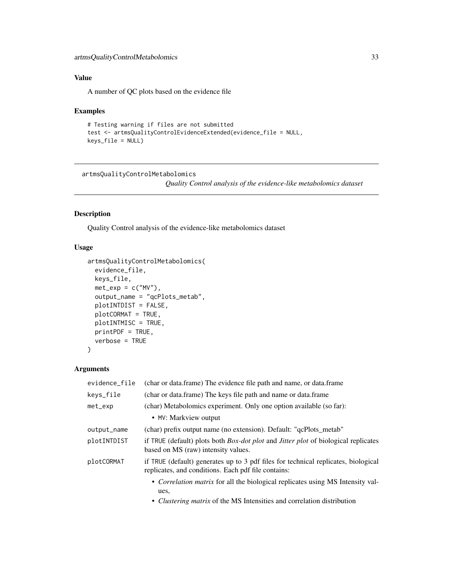#### <span id="page-32-0"></span>Value

A number of QC plots based on the evidence file

#### Examples

```
# Testing warning if files are not submitted
test <- artmsQualityControlEvidenceExtended(evidence_file = NULL,
keys_file = NULL)
```
artmsQualityControlMetabolomics

*Quality Control analysis of the evidence-like metabolomics dataset*

#### Description

Quality Control analysis of the evidence-like metabolomics dataset

#### Usage

```
artmsQualityControlMetabolomics(
  evidence_file,
 keys_file,
 met\_exp = c("MV"),
 output_name = "qcPlots_metab",
 plotINTDIST = FALSE,
 plotCORMAT = TRUE,
 plotINTMISC = TRUE,
 printPDF = TRUE,
 verbose = TRUE
\lambda
```
#### Arguments

| evidence_file | (char or data.frame) The evidence file path and name, or data.frame                                                                       |
|---------------|-------------------------------------------------------------------------------------------------------------------------------------------|
| keys_file     | (char or data.frame) The keys file path and name or data.frame                                                                            |
| $met$ _ $exp$ | (char) Metabolomics experiment. Only one option available (so far):                                                                       |
|               | • MV: Markview output                                                                                                                     |
| output_name   | (char) prefix output name (no extension). Default: "qcPlots_metab"                                                                        |
| plotINTDIST   | if TRUE (default) plots both <i>Box-dot plot</i> and <i>Jitter plot</i> of biological replicates<br>based on MS (raw) intensity values.   |
| plotCORMAT    | if TRUE (default) generates up to 3 pdf files for technical replicates, biological<br>replicates, and conditions. Each pdf file contains: |
|               | • <i>Correlation matrix</i> for all the biological replicates using MS Intensity val-<br>ues.                                             |
|               |                                                                                                                                           |

• *Clustering matrix* of the MS Intensities and correlation distribution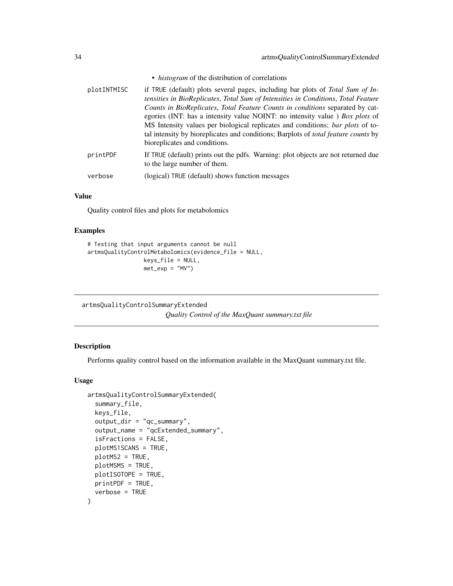- *histogram* of the distribution of correlations
- <span id="page-33-0"></span>plotINTMISC if TRUE (default) plots several pages, including bar plots of *Total Sum of Intensities in BioReplicates*, *Total Sum of Intensities in Conditions*, *Total Feature Counts in BioReplicates*, *Total Feature Counts in conditions* separated by categories (INT: has a intensity value NOINT: no intensity value ) *Box plots* of MS Intensity values per biological replicates and conditions; *bar plots* of total intensity by bioreplicates and conditions; Barplots of *total feature counts* by bioreplicates and conditions. printPDF If TRUE (default) prints out the pdfs. Warning: plot objects are not returned due to the large number of them. verbose (logical) TRUE (default) shows function messages

#### Value

Quality control files and plots for metabolomics

#### Examples

```
# Testing that input arguments cannot be null
artmsQualityControlMetabolomics(evidence_file = NULL,
                 keys_file = NULL,
                 met\_exp = "MV")
```
artmsQualityControlSummaryExtended *Quality Control of the MaxQuant summary.txt file*

#### Description

Performs quality control based on the information available in the MaxQuant summary.txt file.

#### Usage

```
artmsQualityControlSummaryExtended(
  summary_file,
  keys_file,
  output_dir = "qc_summary",
  output_name = "qcExtended_summary",
  isFractions = FALSE,
 plotMS1SCANS = TRUE,
 plotMS2 = TRUE,
 plotMSMS = TRUE,
 plotISOTOPE = TRUE,
 printPDF = TRUE,
  verbose = TRUE
)
```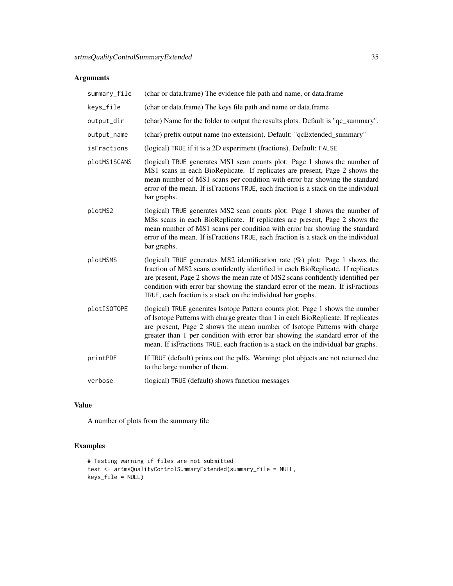#### Arguments

| summary_file | (char or data.frame) The evidence file path and name, or data.frame                                                                                                                                                                                                                                                                                                                                                     |
|--------------|-------------------------------------------------------------------------------------------------------------------------------------------------------------------------------------------------------------------------------------------------------------------------------------------------------------------------------------------------------------------------------------------------------------------------|
| keys_file    | (char or data.frame) The keys file path and name or data.frame                                                                                                                                                                                                                                                                                                                                                          |
| output_dir   | (char) Name for the folder to output the results plots. Default is "qc_summary".                                                                                                                                                                                                                                                                                                                                        |
| output_name  | (char) prefix output name (no extension). Default: "qcExtended_summary"                                                                                                                                                                                                                                                                                                                                                 |
| isFractions  | (logical) TRUE if it is a 2D experiment (fractions). Default: FALSE                                                                                                                                                                                                                                                                                                                                                     |
| plotMS1SCANS | (logical) TRUE generates MS1 scan counts plot: Page 1 shows the number of<br>MS1 scans in each BioReplicate. If replicates are present, Page 2 shows the<br>mean number of MS1 scans per condition with error bar showing the standard<br>error of the mean. If is Fractions TRUE, each fraction is a stack on the individual<br>bar graphs.                                                                            |
| plotMS2      | (logical) TRUE generates MS2 scan counts plot: Page 1 shows the number of<br>MSs scans in each BioReplicate. If replicates are present, Page 2 shows the<br>mean number of MS1 scans per condition with error bar showing the standard<br>error of the mean. If isFractions TRUE, each fraction is a stack on the individual<br>bar graphs.                                                                             |
| plotMSMS     | (logical) TRUE generates MS2 identification rate $(\%)$ plot: Page 1 shows the<br>fraction of MS2 scans confidently identified in each BioReplicate. If replicates<br>are present, Page 2 shows the mean rate of MS2 scans confidently identified per<br>condition with error bar showing the standard error of the mean. If isFractions<br>TRUE, each fraction is a stack on the individual bar graphs.                |
| plotISOTOPE  | (logical) TRUE generates Isotope Pattern counts plot: Page 1 shows the number<br>of Isotope Patterns with charge greater than 1 in each BioReplicate. If replicates<br>are present, Page 2 shows the mean number of Isotope Patterns with charge<br>greater than 1 per condition with error bar showing the standard error of the<br>mean. If is Fractions TRUE, each fraction is a stack on the individual bar graphs. |
| printPDF     | If TRUE (default) prints out the pdfs. Warning: plot objects are not returned due<br>to the large number of them.                                                                                                                                                                                                                                                                                                       |
| verbose      | (logical) TRUE (default) shows function messages                                                                                                                                                                                                                                                                                                                                                                        |
|              |                                                                                                                                                                                                                                                                                                                                                                                                                         |

### Value

A number of plots from the summary file

#### Examples

```
# Testing warning if files are not submitted
test <- artmsQualityControlSummaryExtended(summary_file = NULL,
keys_file = NULL)
```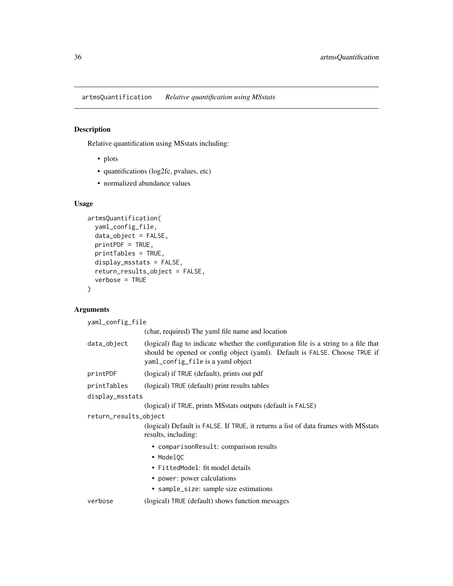<span id="page-35-0"></span>artmsQuantification *Relative quantification using MSstats*

#### Description

Relative quantification using MSstats including:

- plots
- quantifications (log2fc, pvalues, etc)
- normalized abundance values

#### Usage

```
artmsQuantification(
  yaml_config_file,
  data_object = FALSE,
 printPDF = TRUE,
 printTables = TRUE,
  display_msstats = FALSE,
  return_results_object = FALSE,
  verbose = TRUE
)
```
#### Arguments

```
yaml_config_file
                  (char, required) The yaml file name and location
data_object (logical) flag to indicate whether the configuration file is a string to a file that
                  should be opened or config object (yaml). Default is FALSE. Choose TRUE if
                  yaml_config_file is a yaml object
printPDF (logical) if TRUE (default), prints out pdf
printTables (logical) TRUE (default) print results tables
display_msstats
                  (logical) if TRUE, prints MSstats outputs (default is FALSE)
return_results_object
                  (logical) Default is FALSE. If TRUE, it returns a list of data frames with MSstats
                  results, including:
                    • comparisonResult: comparison results
                    • ModelOC
                    • FittedModel: fit model details
                    • power: power calculations
                    • sample_size: sample size estimations
verbose (logical) TRUE (default) shows function messages
```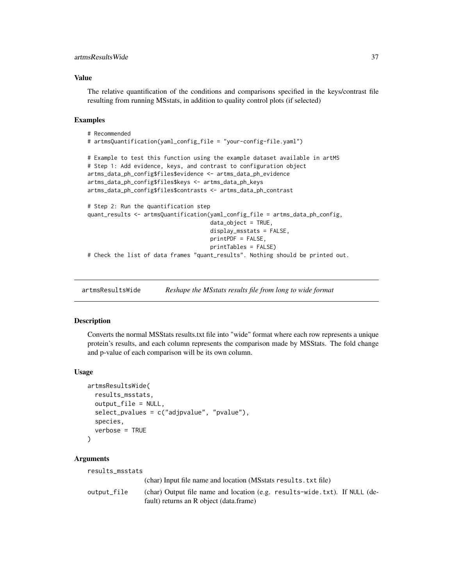#### <span id="page-36-0"></span>artmsResultsWide 37

#### Value

The relative quantification of the conditions and comparisons specified in the keys/contrast file resulting from running MSstats, in addition to quality control plots (if selected)

#### Examples

```
# Recommended
# artmsQuantification(yaml_config_file = "your-config-file.yaml")
# Example to test this function using the example dataset available in artMS
# Step 1: Add evidence, keys, and contrast to configuration object
artms_data_ph_config$files$evidence <- artms_data_ph_evidence
artms_data_ph_config$files$keys <- artms_data_ph_keys
artms_data_ph_config$files$contrasts <- artms_data_ph_contrast
# Step 2: Run the quantification step
quant_results <- artmsQuantification(yaml_config_file = artms_data_ph_config,
                                     data\_object = TRUE,display_msstats = FALSE,
                                     printPDF = FALSE,
                                     printTables = FALSE)
# Check the list of data frames "quant_results". Nothing should be printed out.
```
artmsResultsWide *Reshape the MSstats results file from long to wide format*

#### Description

Converts the normal MSStats results.txt file into "wide" format where each row represents a unique protein's results, and each column represents the comparison made by MSStats. The fold change and p-value of each comparison will be its own column.

#### Usage

```
artmsResultsWide(
  results_msstats,
  output_file = NULL,
  select_pvalues = c("adjpvalue", "pvalue"),
  species,
  verbose = TRUE
)
```
#### Arguments

```
results_msstats
```
(char) Input file name and location (MSstats results.txt file) output\_file (char) Output file name and location (e.g. results-wide.txt). If NULL (default) returns an R object (data.frame)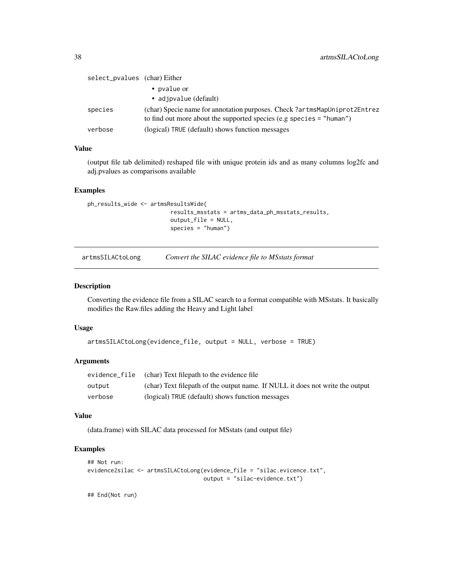<span id="page-37-0"></span>

| select_pvalues (char) Either |                                                                                                                                                    |
|------------------------------|----------------------------------------------------------------------------------------------------------------------------------------------------|
|                              | • pvalue or                                                                                                                                        |
|                              | • adjpvalue (default)                                                                                                                              |
| species                      | (char) Specie name for annotation purposes. Check?artmsMapUniprot2Entrez<br>to find out more about the supported species (e.g species $=$ "human") |
| verbose                      | (logical) TRUE (default) shows function messages                                                                                                   |

#### Value

(output file tab delimited) reshaped file with unique protein ids and as many columns log2fc and adj.pvalues as comparisons available

#### Examples

```
ph_results_wide <- artmsResultsWide(
                        results_msstats = artms_data_ph_msstats_results,
                         output_file = NULL,
                         species = "human")
```
artmsSILACtoLong *Convert the SILAC evidence file to MSstats format*

#### Description

Converting the evidence file from a SILAC search to a format compatible with MSstats. It basically modifies the Raw.files adding the Heavy and Light label

#### Usage

```
artmsSILACtoLong(evidence_file, output = NULL, verbose = TRUE)
```
#### Arguments

|         | evidence file (char) Text filepath to the evidence file                       |
|---------|-------------------------------------------------------------------------------|
| output  | (char) Text filepath of the output name. If NULL it does not write the output |
| verbose | (logical) TRUE (default) shows function messages                              |

#### Value

(data.frame) with SILAC data processed for MSstats (and output file)

#### Examples

```
## Not run:
evidence2silac <- artmsSILACtoLong(evidence_file = "silac.evicence.txt",
                                   output = "silac-evidence.txt")
```
## End(Not run)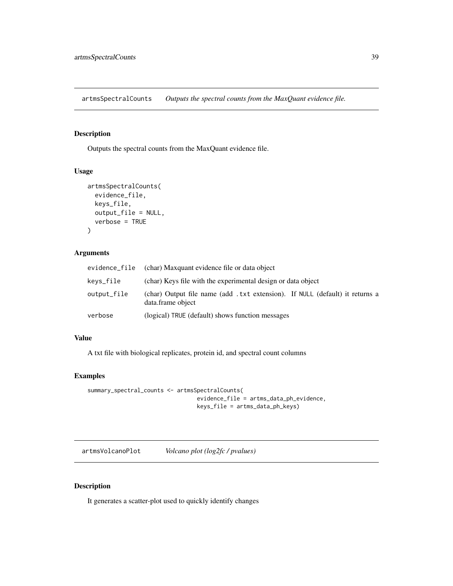<span id="page-38-0"></span>artmsSpectralCounts *Outputs the spectral counts from the MaxQuant evidence file.*

#### Description

Outputs the spectral counts from the MaxQuant evidence file.

#### Usage

```
artmsSpectralCounts(
  evidence_file,
 keys_file,
 output_file = NULL,
  verbose = TRUE
)
```
#### Arguments

| evidence_file | (char) Maxquant evidence file or data object                                                      |
|---------------|---------------------------------------------------------------------------------------------------|
| kevs_file     | (char) Keys file with the experimental design or data object                                      |
| output_file   | (char) Output file name (add .txt extension). If NULL (default) it returns a<br>data.frame object |
| verbose       | (logical) TRUE (default) shows function messages                                                  |

#### Value

A txt file with biological replicates, protein id, and spectral count columns

#### Examples

```
summary_spectral_counts <- artmsSpectralCounts(
                                 evidence_file = artms_data_ph_evidence,
                                 keys_file = artms_data_ph_keys)
```
artmsVolcanoPlot *Volcano plot (log2fc / pvalues)*

#### Description

It generates a scatter-plot used to quickly identify changes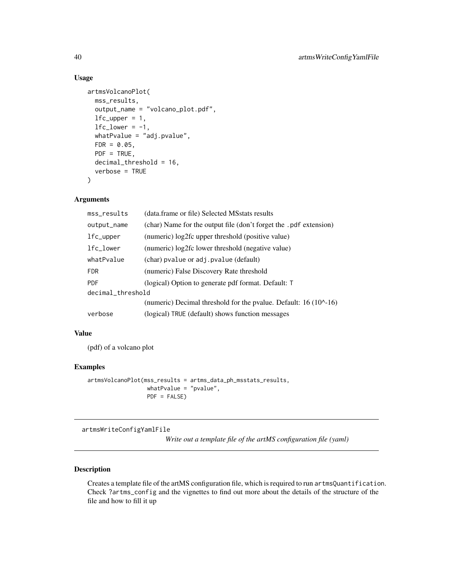#### Usage

```
artmsVolcanoPlot(
 mss_results,
  output_name = "volcano_plot.pdf",
  lfc\_upper = 1,
  1fc\_lower = -1,whatPvalue = "adj.pvalue",
  FDR = 0.05,
 PDF = TRUE,decimal_threshold = 16,
  verbose = TRUE
)
```
#### Arguments

| mss_results       | (data.frame or file) Selected MSstats results                     |
|-------------------|-------------------------------------------------------------------|
| output_name       | (char) Name for the output file (don't forget the .pdf extension) |
| lfc_upper         | (numeric) log2fc upper threshold (positive value)                 |
| lfc_lower         | (numeric) log2fc lower threshold (negative value)                 |
| whatPvalue        | (char) pvalue or adj. pvalue (default)                            |
| <b>FDR</b>        | (numeric) False Discovery Rate threshold                          |
| <b>PDF</b>        | (logical) Option to generate pdf format. Default: T               |
| decimal_threshold |                                                                   |
|                   | (numeric) Decimal threshold for the pvalue. Default: 16 (10^-16)  |
| verbose           | (logical) TRUE (default) shows function messages                  |

#### Value

(pdf) of a volcano plot

#### Examples

```
artmsVolcanoPlot(mss_results = artms_data_ph_msstats_results,
                 whatPvalue = "pvalue",
                 PDF = FALSE)
```
artmsWriteConfigYamlFile

*Write out a template file of the artMS configuration file (yaml)*

#### Description

Creates a template file of the artMS configuration file, which is required to run artmsQuantification. Check ?artms\_config and the vignettes to find out more about the details of the structure of the file and how to fill it up

<span id="page-39-0"></span>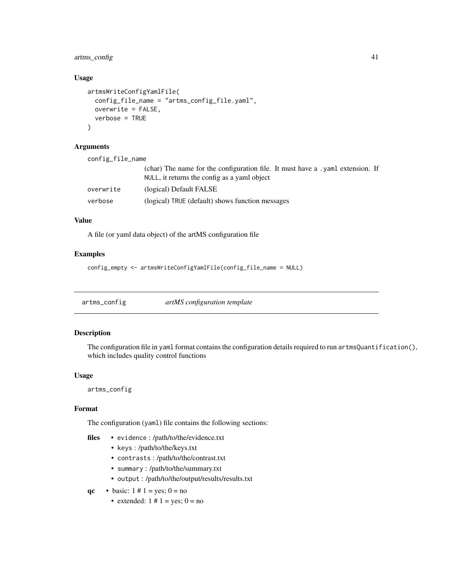<span id="page-40-0"></span>artms\_config 41

#### Usage

```
artmsWriteConfigYamlFile(
  config_file_name = "artms_config_file.yaml",
  overwrite = FALSE,
  verbose = TRUE
\lambda
```
### Arguments

| config_file_name |                                                                                                                               |  |
|------------------|-------------------------------------------------------------------------------------------------------------------------------|--|
|                  | (char) The name for the configuration file. It must have a yaml extension. If<br>NULL, it returns the config as a yaml object |  |
| overwrite        | (logical) Default FALSE                                                                                                       |  |
| verbose          | (logical) TRUE (default) shows function messages                                                                              |  |

#### Value

A file (or yaml data object) of the artMS configuration file

#### Examples

```
config_empty <- artmsWriteConfigYamlFile(config_file_name = NULL)
```
artms\_config *artMS configuration template*

#### Description

The configuration file in yaml format contains the configuration details required to run artmsQuantification(), which includes quality control functions

#### Usage

artms\_config

#### Format

The configuration (yaml) file contains the following sections:

- files evidence : /path/to/the/evidence.txt
	- keys : /path/to/the/keys.txt
	- contrasts : /path/to/the/contrast.txt
	- summary : /path/to/the/summary.txt
	- output : /path/to/the/output/results/results.txt
- qc basic:  $1 \# 1 = yes$ ;  $0 = no$ 
	- extended:  $1 \# 1 = yes$ ;  $0 = no$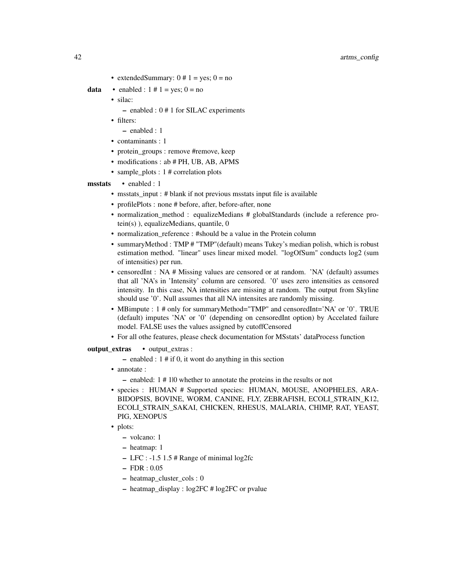• extended Summary:  $0 \# 1 = yes$ ;  $0 = no$ 

**data** • enabled :  $1 \# 1 = yes$ ;  $0 = no$ 

- silac:
	- enabled : 0 # 1 for SILAC experiments
- filters:
	- enabled : 1
- contaminants : 1
- protein groups : remove #remove, keep
- modifications : ab # PH, UB, AB, APMS
- sample plots :  $1$  # correlation plots

#### msstats • enabled : 1

- msstats\_input : # blank if not previous msstats input file is available
- profilePlots : none # before, after, before-after, none
- normalization\_method : equalizeMedians # globalStandards (include a reference protein(s) ), equalizeMedians, quantile, 0
- normalization reference : #should be a value in the Protein column
- summaryMethod : TMP # "TMP"(default) means Tukey's median polish, which is robust estimation method. "linear" uses linear mixed model. "logOfSum" conducts log2 (sum of intensities) per run.
- censoredInt : NA # Missing values are censored or at random. 'NA' (default) assumes that all 'NA's in 'Intensity' column are censored. '0' uses zero intensities as censored intensity. In this case, NA intensities are missing at random. The output from Skyline should use '0'. Null assumes that all NA intensites are randomly missing.
- MBimpute : 1 # only for summaryMethod="TMP" and censoredInt='NA' or '0'. TRUE (default) imputes 'NA' or '0' (depending on censoredInt option) by Accelated failure model. FALSE uses the values assigned by cutoffCensored
- For all othe features, please check documentation for MSstats' dataProcess function

#### output\_extras • output\_extras :

- enabled :  $1 \#$  if 0, it wont do anything in this section
- annotate :
	- enabled: 1 # 1|0 whether to annotate the proteins in the results or not
- species : HUMAN # Supported species: HUMAN, MOUSE, ANOPHELES, ARA-BIDOPSIS, BOVINE, WORM, CANINE, FLY, ZEBRAFISH, ECOLI\_STRAIN\_K12, ECOLI\_STRAIN\_SAKAI, CHICKEN, RHESUS, MALARIA, CHIMP, RAT, YEAST, PIG, XENOPUS
- plots:
	- volcano: 1
	- heatmap: 1
	- LFC : -1.5 1.5 # Range of minimal log2fc
	- FDR : 0.05
	- heatmap\_cluster\_cols : 0
	- heatmap\_display : log2FC # log2FC or pvalue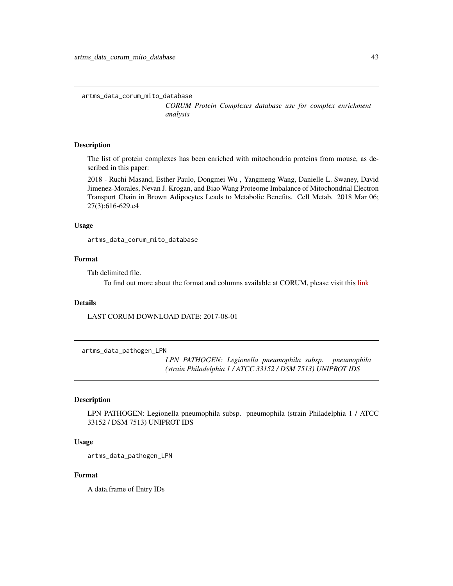<span id="page-42-0"></span>artms\_data\_corum\_mito\_database

*CORUM Protein Complexes database use for complex enrichment analysis*

#### Description

The list of protein complexes has been enriched with mitochondria proteins from mouse, as described in this paper:

2018 - Ruchi Masand, Esther Paulo, Dongmei Wu , Yangmeng Wang, Danielle L. Swaney, David Jimenez-Morales, Nevan J. Krogan, and Biao Wang Proteome Imbalance of Mitochondrial Electron Transport Chain in Brown Adipocytes Leads to Metabolic Benefits. Cell Metab. 2018 Mar 06; 27(3):616-629.e4

#### Usage

artms\_data\_corum\_mito\_database

#### Format

Tab delimited file.

To find out more about the format and columns available at CORUM, please visit this [link](http://mips.helmholtz-muenchen.de/corum/)

#### Details

LAST CORUM DOWNLOAD DATE: 2017-08-01

artms\_data\_pathogen\_LPN

*LPN PATHOGEN: Legionella pneumophila subsp. pneumophila (strain Philadelphia 1 / ATCC 33152 / DSM 7513) UNIPROT IDS*

#### Description

LPN PATHOGEN: Legionella pneumophila subsp. pneumophila (strain Philadelphia 1 / ATCC 33152 / DSM 7513) UNIPROT IDS

#### Usage

artms\_data\_pathogen\_LPN

#### Format

A data.frame of Entry IDs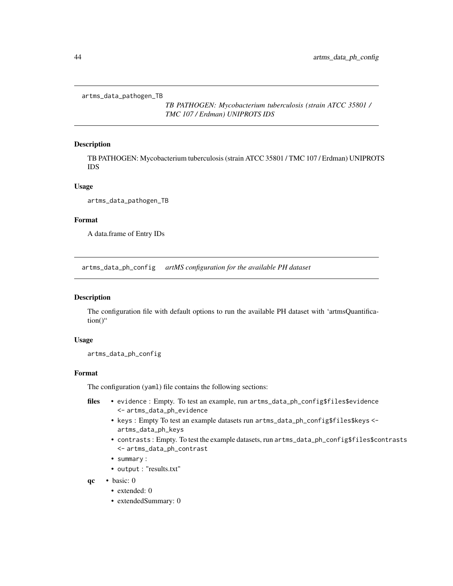<span id="page-43-0"></span>artms\_data\_pathogen\_TB

*TB PATHOGEN: Mycobacterium tuberculosis (strain ATCC 35801 / TMC 107 / Erdman) UNIPROTS IDS*

#### Description

TB PATHOGEN: Mycobacterium tuberculosis (strain ATCC 35801 / TMC 107 / Erdman) UNIPROTS IDS

#### Usage

artms\_data\_pathogen\_TB

#### Format

A data.frame of Entry IDs

artms\_data\_ph\_config *artMS configuration for the available PH dataset*

#### Description

The configuration file with default options to run the available PH dataset with 'artmsQuantification()"

#### Usage

artms\_data\_ph\_config

#### Format

The configuration (yaml) file contains the following sections:

- files evidence : Empty. To test an example, run artms\_data\_ph\_config\$files\$evidence <- artms\_data\_ph\_evidence
	- keys : Empty To test an example datasets run artms\_data\_ph\_config\$files\$keys < artms\_data\_ph\_keys
	- contrasts : Empty. To test the example datasets, run artms\_data\_ph\_config\$files\$contrasts <- artms\_data\_ph\_contrast
	- summary :
	- output : "results.txt"
- qc basic: 0
	- extended: 0
	- extendedSummary: 0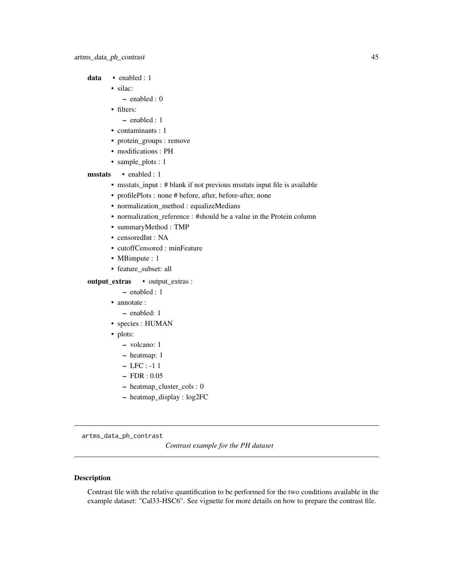<span id="page-44-0"></span>data · enabled : 1

- silac:
	- enabled : 0
- filters:
	- enabled : 1
- contaminants : 1
- protein\_groups : remove
- modifications : PH
- sample\_plots : 1

#### msstats • enabled : 1

- msstats\_input : # blank if not previous msstats input file is available
- profilePlots : none # before, after, before-after, none
- normalization\_method : equalizeMedians
- normalization\_reference : #should be a value in the Protein column
- summaryMethod : TMP
- censoredInt : NA
- cutoffCensored : minFeature
- MBimpute : 1
- feature\_subset: all

#### output\_extras • output\_extras :

– enabled : 1

- annotate :
	- enabled: 1
- species : HUMAN
- plots:
	- volcano: 1
	- heatmap: 1
	- LFC : -1 1
	- FDR : 0.05
	- heatmap\_cluster\_cols : 0
	- heatmap\_display : log2FC

artms\_data\_ph\_contrast

*Contrast example for the PH dataset*

#### Description

Contrast file with the relative quantification to be performed for the two conditions available in the example dataset: "Cal33-HSC6". See vignette for more details on how to prepare the contrast file.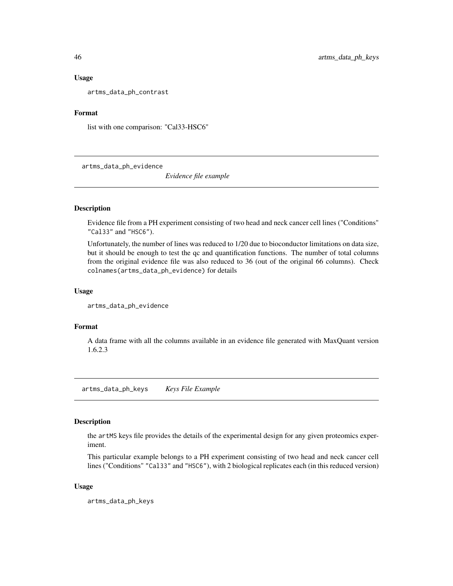#### <span id="page-45-0"></span>Usage

artms\_data\_ph\_contrast

#### Format

list with one comparison: "Cal33-HSC6"

artms\_data\_ph\_evidence

*Evidence file example*

#### Description

Evidence file from a PH experiment consisting of two head and neck cancer cell lines ("Conditions" "Cal33" and "HSC6").

Unfortunately, the number of lines was reduced to 1/20 due to bioconductor limitations on data size, but it should be enough to test the qc and quantification functions. The number of total columns from the original evidence file was also reduced to 36 (out of the original 66 columns). Check colnames(artms\_data\_ph\_evidence) for details

#### Usage

```
artms_data_ph_evidence
```
#### Format

A data frame with all the columns available in an evidence file generated with MaxQuant version 1.6.2.3

artms\_data\_ph\_keys *Keys File Example*

#### Description

the artMS keys file provides the details of the experimental design for any given proteomics experiment.

This particular example belongs to a PH experiment consisting of two head and neck cancer cell lines ("Conditions" "Cal33" and "HSC6"), with 2 biological replicates each (in this reduced version)

#### Usage

artms\_data\_ph\_keys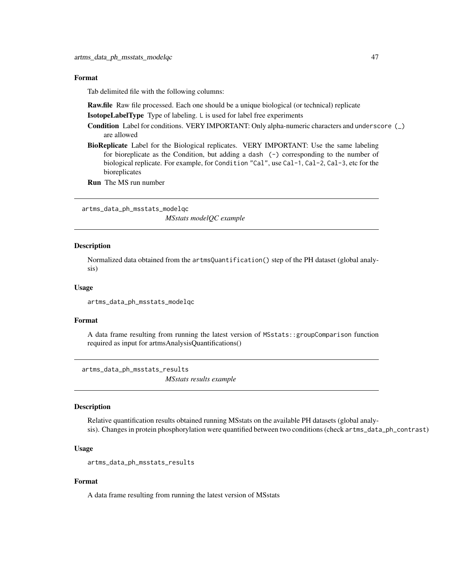#### <span id="page-46-0"></span>Format

Tab delimited file with the following columns:

Raw.file Raw file processed. Each one should be a unique biological (or technical) replicate

IsotopeLabelType Type of labeling. L is used for label free experiments

Condition Label for conditions. VERY IMPORTANT: Only alpha-numeric characters and underscore (\_) are allowed

BioReplicate Label for the Biological replicates. VERY IMPORTANT: Use the same labeling for bioreplicate as the Condition, but adding a dash  $(-)$  corresponding to the number of biological replicate. For example, for Condition "Cal", use Cal-1, Cal-2, Cal-3, etc for the bioreplicates

Run The MS run number

artms\_data\_ph\_msstats\_modelqc

*MSstats modelQC example*

#### Description

Normalized data obtained from the artmsQuantification() step of the PH dataset (global analysis)

#### Usage

artms\_data\_ph\_msstats\_modelqc

#### Format

A data frame resulting from running the latest version of MSstats::groupComparison function required as input for artmsAnalysisQuantifications()

artms\_data\_ph\_msstats\_results *MSstats results example*

#### **Description**

Relative quantification results obtained running MSstats on the available PH datasets (global analysis). Changes in protein phosphorylation were quantified between two conditions (check artms\_data\_ph\_contrast)

#### Usage

```
artms_data_ph_msstats_results
```
#### Format

A data frame resulting from running the latest version of MSstats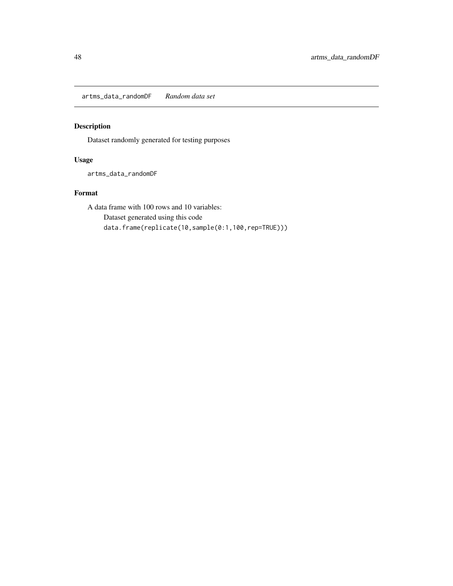<span id="page-47-0"></span>artms\_data\_randomDF *Random data set*

#### Description

Dataset randomly generated for testing purposes

#### Usage

artms\_data\_randomDF

#### Format

A data frame with 100 rows and 10 variables: Dataset generated using this code data.frame(replicate(10,sample(0:1,100,rep=TRUE)))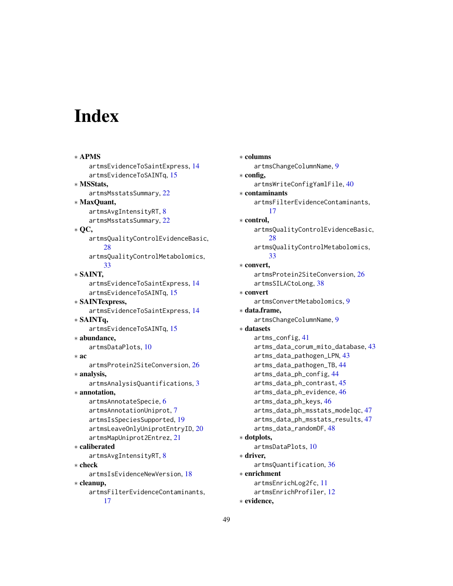# <span id="page-48-0"></span>Index

```
∗ APMS
    artmsEvidenceToSaintExpress, 14
    artmsEvidenceToSAINTq, 15
∗ MSStats,
    artmsMsstatsSummary, 22
∗ MaxQuant,
    artmsAvgIntensityRT, 8
    artmsMsstatsSummary, 22
∗ QC,
    artmsQualityControlEvidenceBasic,
        28
    artmsQualityControlMetabolomics,
        33
∗ SAINT,
    artmsEvidenceToSaintExpress, 14
    artmsEvidenceToSAINTq, 15
∗ SAINTexpress,
    artmsEvidenceToSaintExpress, 14
∗ SAINTq,
    artmsEvidenceToSAINTq, 15
∗ abundance,
    artmsDataPlots, 10
∗ ac
    artmsProtein2SiteConversion, 26
∗ analysis,
    artmsAnalysisQuantifications, 3
∗ annotation,
    artmsAnnotateSpecie, 6
    artmsAnnotationUniprot, 7
    artmsIsSpeciesSupported, 19
    artmsLeaveOnlyUniprotEntryID, 20
    artmsMapUniprot2Entrez, 21
∗ caliberated
    artmsAvgIntensityRT, 8
∗ check
    artmsIsEvidenceNewVersion, 18
∗ cleanup,
    artmsFilterEvidenceContaminants,
        17
```
∗ columns artmsChangeColumnName, [9](#page-8-0) ∗ config, artmsWriteConfigYamlFile, [40](#page-39-0) ∗ contaminants artmsFilterEvidenceContaminants, [17](#page-16-0) ∗ control, artmsQualityControlEvidenceBasic, [28](#page-27-0) artmsQualityControlMetabolomics, [33](#page-32-0) ∗ convert, artmsProtein2SiteConversion, [26](#page-25-0) artmsSILACtoLong, [38](#page-37-0) ∗ convert artmsConvertMetabolomics, [9](#page-8-0) ∗ data.frame, artmsChangeColumnName, [9](#page-8-0) ∗ datasets artms\_config, [41](#page-40-0) artms\_data\_corum\_mito\_database, [43](#page-42-0) artms\_data\_pathogen\_LPN, [43](#page-42-0) artms\_data\_pathogen\_TB, [44](#page-43-0) artms\_data\_ph\_config, [44](#page-43-0) artms\_data\_ph\_contrast, [45](#page-44-0) artms\_data\_ph\_evidence, [46](#page-45-0) artms\_data\_ph\_keys, [46](#page-45-0) artms\_data\_ph\_msstats\_modelqc, [47](#page-46-0) artms\_data\_ph\_msstats\_results, [47](#page-46-0) artms\_data\_randomDF, [48](#page-47-0) ∗ dotplots, artmsDataPlots, [10](#page-9-0) ∗ driver, artmsQuantification, [36](#page-35-0) ∗ enrichment artmsEnrichLog2fc, [11](#page-10-0) artmsEnrichProfiler, [12](#page-11-0) ∗ evidence,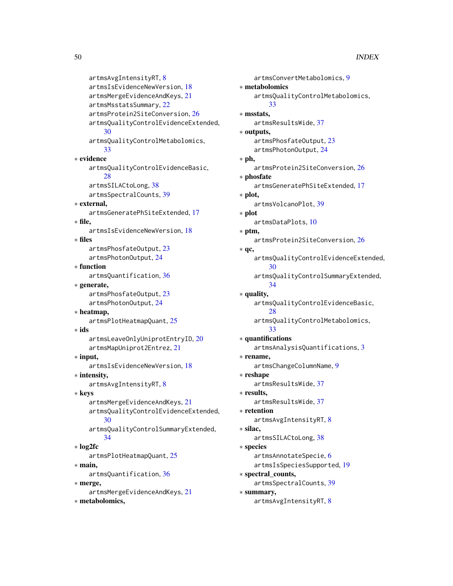```
artmsAvgIntensityRT, 8
    artmsIsEvidenceNewVersion, 18
    artmsMergeEvidenceAndKeys, 21
    artmsMsstatsSummary, 22
    artmsProtein2SiteConversion, 26
    artmsQualityControlEvidenceExtended,
        30
    artmsQualityControlMetabolomics,
        33
∗ evidence
    artmsQualityControlEvidenceBasic,
        28
    artmsSILACtoLong, 38
    artmsSpectralCounts, 39
∗ external,
    artmsGeneratePhSiteExtended, 17
∗ file,
    artmsIsEvidenceNewVersion, 18
∗ files
    artmsPhosfateOutput, 23
    artmsPhotonOutput, 24
∗ function
    artmsQuantification, 36
∗ generate,
    artmsPhosfateOutput, 23
    artmsPhotonOutput, 24
∗ heatmap,
    artmsPlotHeatmapQuant, 25
∗ ids
    artmsLeaveOnlyUniprotEntryID, 20
    artmsMapUniprot2Entrez, 21
∗ input,
    artmsIsEvidenceNewVersion, 18
∗ intensity,
    artmsAvgIntensityRT, 8
∗ keys
    artmsMergeEvidenceAndKeys, 21
    artmsQualityControlEvidenceExtended,
        30
    artmsQualityControlSummaryExtended,
        34
∗ log2fc
    artmsPlotHeatmapQuant, 25
∗ main,
    artmsQuantification, 36
∗ merge,
    artmsMergeEvidenceAndKeys, 21
∗ metabolomics,
```

```
artmsConvertMetabolomics, 9
∗ metabolomics
    artmsQualityControlMetabolomics,
        33
∗ msstats,
    artmsResultsWide, 37
∗ outputs,
    artmsPhosfateOutput, 23
    artmsPhotonOutput, 24
∗ ph,
    artmsProtein2SiteConversion, 26
∗ phosfate
    artmsGeneratePhSiteExtended, 17
∗ plot,
    artmsVolcanoPlot, 39
∗ plot
    artmsDataPlots, 10
∗ ptm,
    artmsProtein2SiteConversion, 26
∗ qc,
    artmsQualityControlEvidenceExtended,
        30
    artmsQualityControlSummaryExtended,
        34
∗ quality,
    artmsQualityControlEvidenceBasic,
         28
    artmsQualityControlMetabolomics,
        33
∗ quantifications
    artmsAnalysisQuantifications, 3
∗ rename,
    artmsChangeColumnName, 9
∗ reshape
    artmsResultsWide, 37
∗ results,
    artmsResultsWide, 37
∗ retention
    artmsAvgIntensityRT, 8
∗ silac,
    artmsSILACtoLong, 38
∗ species
    artmsAnnotateSpecie, 6
    artmsIsSpeciesSupported, 19
∗ spectral_counts,
    artmsSpectralCounts, 39
∗ summary,
```
artmsAvgIntensityRT, [8](#page-7-0)